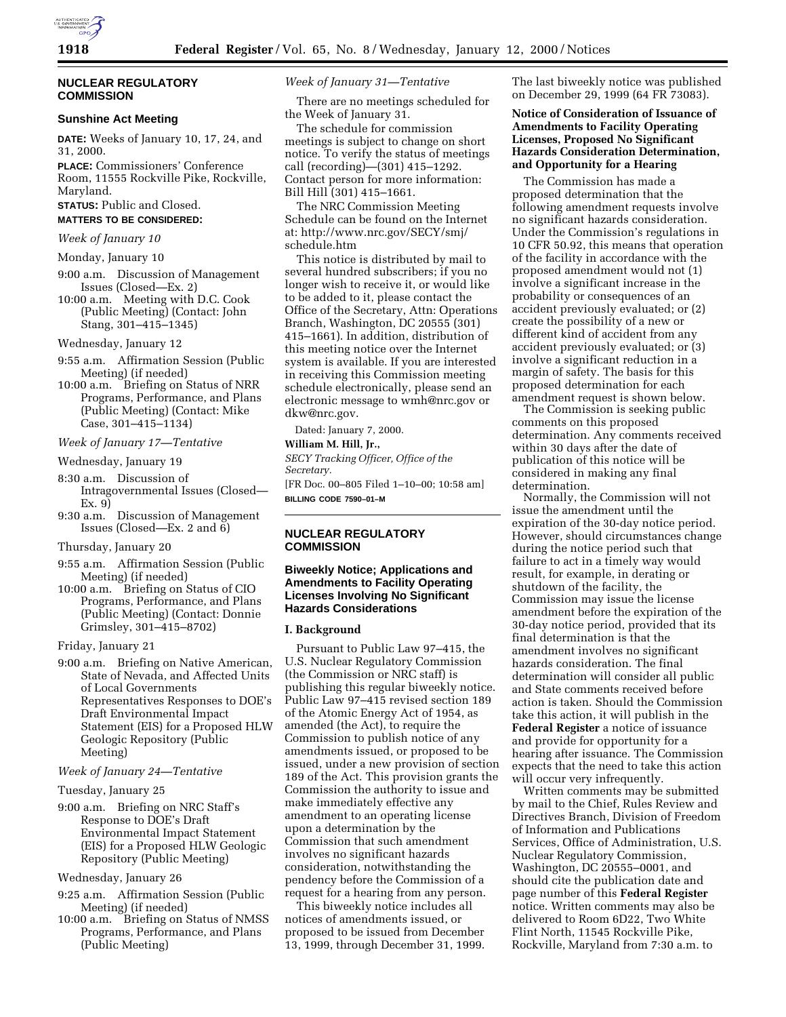

### **NUCLEAR REGULATORY COMMISSION**

# **Sunshine Act Meeting**

**DATE:** Weeks of January 10, 17, 24, and 31, 2000.

**PLACE:** Commissioners' Conference Room, 11555 Rockville Pike, Rockville, Maryland.

**STATUS:** Public and Closed.

#### **MATTERS TO BE CONSIDERED:**

#### *Week of January 10*

Monday, January 10

- 9:00 a.m. Discussion of Management Issues (Closed—Ex. 2)
- 10:00 a.m. Meeting with D.C. Cook (Public Meeting) (Contact: John Stang, 301–415–1345)

Wednesday, January 12

- 9:55 a.m. Affirmation Session (Public Meeting) (if needed)
- 10:00 a.m. Briefing on Status of NRR Programs, Performance, and Plans (Public Meeting) (Contact: Mike Case, 301–415–1134)
- *Week of January 17—Tentative*
- Wednesday, January 19
- 8:30 a.m. Discussion of Intragovernmental Issues (Closed— Ex. 9)
- 9:30 a.m. Discussion of Management Issues (Closed—Ex. 2 and 6)

#### Thursday, January 20

- 9:55 a.m. Affirmation Session (Public Meeting) (if needed)
- 10:00 a.m. Briefing on Status of CIO Programs, Performance, and Plans (Public Meeting) (Contact: Donnie Grimsley, 301–415–8702)

#### Friday, January 21

9:00 a.m. Briefing on Native American, State of Nevada, and Affected Units of Local Governments Representatives Responses to DOE's Draft Environmental Impact Statement (EIS) for a Proposed HLW Geologic Repository (Public Meeting)

### *Week of January 24—Tentative*

# Tuesday, January 25

9:00 a.m. Briefing on NRC Staff's Response to DOE's Draft Environmental Impact Statement (EIS) for a Proposed HLW Geologic Repository (Public Meeting)

#### Wednesday, January 26

- 9:25 a.m. Affirmation Session (Public Meeting) (if needed)
- 10:00 a.m. Briefing on Status of NMSS Programs, Performance, and Plans (Public Meeting)

*Week of January 31—Tentative*

There are no meetings scheduled for the Week of January 31.

The schedule for commission meetings is subject to change on short notice. To verify the status of meetings call (recording)—(301) 415–1292. Contact person for more information: Bill Hill (301) 415–1661.

The NRC Commission Meeting Schedule can be found on the Internet at: http://www.nrc.gov/SECY/smj/ schedule.htm

This notice is distributed by mail to several hundred subscribers; if you no longer wish to receive it, or would like to be added to it, please contact the Office of the Secretary, Attn: Operations Branch, Washington, DC 20555 (301) 415–1661). In addition, distribution of this meeting notice over the Internet system is available. If you are interested in receiving this Commission meeting schedule electronically, please send an electronic message to wmh@nrc.gov or dkw@nrc.gov.

Dated: January 7, 2000.

# **William M. Hill, Jr.,**

*SECY Tracking Officer, Office of the Secretary.* [FR Doc. 00–805 Filed 1–10–00; 10:58 am] **BILLING CODE 7590–01–M**

#### **NUCLEAR REGULATORY COMMISSION**

### **Biweekly Notice; Applications and Amendments to Facility Operating Licenses Involving No Significant Hazards Considerations**

#### **I. Background**

Pursuant to Public Law 97–415, the U.S. Nuclear Regulatory Commission (the Commission or NRC staff) is publishing this regular biweekly notice. Public Law 97–415 revised section 189 of the Atomic Energy Act of 1954, as amended (the Act), to require the Commission to publish notice of any amendments issued, or proposed to be issued, under a new provision of section 189 of the Act. This provision grants the Commission the authority to issue and make immediately effective any amendment to an operating license upon a determination by the Commission that such amendment involves no significant hazards consideration, notwithstanding the pendency before the Commission of a request for a hearing from any person.

This biweekly notice includes all notices of amendments issued, or proposed to be issued from December 13, 1999, through December 31, 1999. The last biweekly notice was published on December 29, 1999 (64 FR 73083).

### **Notice of Consideration of Issuance of Amendments to Facility Operating Licenses, Proposed No Significant Hazards Consideration Determination, and Opportunity for a Hearing**

The Commission has made a proposed determination that the following amendment requests involve no significant hazards consideration. Under the Commission's regulations in 10 CFR 50.92, this means that operation of the facility in accordance with the proposed amendment would not (1) involve a significant increase in the probability or consequences of an accident previously evaluated; or (2) create the possibility of a new or different kind of accident from any accident previously evaluated; or (3) involve a significant reduction in a margin of safety. The basis for this proposed determination for each amendment request is shown below.

The Commission is seeking public comments on this proposed determination. Any comments received within 30 days after the date of publication of this notice will be considered in making any final determination.

Normally, the Commission will not issue the amendment until the expiration of the 30-day notice period. However, should circumstances change during the notice period such that failure to act in a timely way would result, for example, in derating or shutdown of the facility, the Commission may issue the license amendment before the expiration of the 30-day notice period, provided that its final determination is that the amendment involves no significant hazards consideration. The final determination will consider all public and State comments received before action is taken. Should the Commission take this action, it will publish in the **Federal Register** a notice of issuance and provide for opportunity for a hearing after issuance. The Commission expects that the need to take this action will occur very infrequently.

Written comments may be submitted by mail to the Chief, Rules Review and Directives Branch, Division of Freedom of Information and Publications Services, Office of Administration, U.S. Nuclear Regulatory Commission, Washington, DC 20555–0001, and should cite the publication date and page number of this **Federal Register** notice. Written comments may also be delivered to Room 6D22, Two White Flint North, 11545 Rockville Pike, Rockville, Maryland from 7:30 a.m. to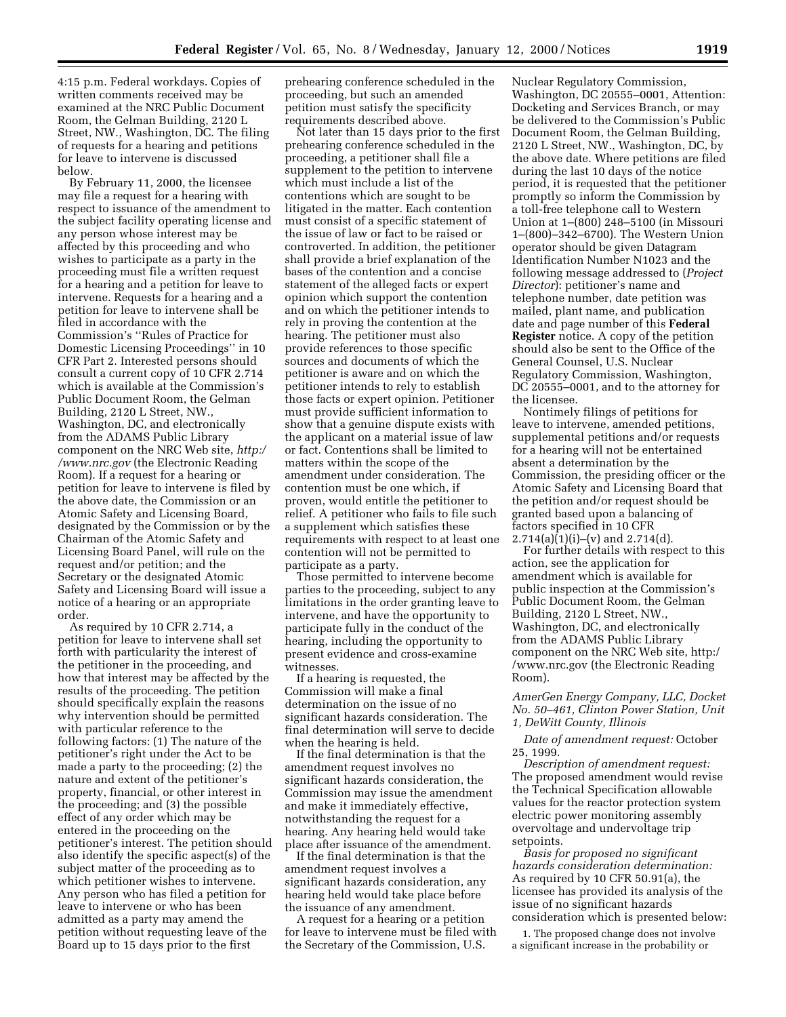4:15 p.m. Federal workdays. Copies of written comments received may be examined at the NRC Public Document Room, the Gelman Building, 2120 L Street, NW., Washington, DC. The filing of requests for a hearing and petitions for leave to intervene is discussed below.

By February 11, 2000, the licensee may file a request for a hearing with respect to issuance of the amendment to the subject facility operating license and any person whose interest may be affected by this proceeding and who wishes to participate as a party in the proceeding must file a written request for a hearing and a petition for leave to intervene. Requests for a hearing and a petition for leave to intervene shall be filed in accordance with the Commission's ''Rules of Practice for Domestic Licensing Proceedings'' in 10 CFR Part 2. Interested persons should consult a current copy of 10 CFR 2.714 which is available at the Commission's Public Document Room, the Gelman Building, 2120 L Street, NW., Washington, DC, and electronically from the ADAMS Public Library component on the NRC Web site, *http:/ /www.nrc.gov* (the Electronic Reading Room). If a request for a hearing or petition for leave to intervene is filed by the above date, the Commission or an Atomic Safety and Licensing Board, designated by the Commission or by the Chairman of the Atomic Safety and Licensing Board Panel, will rule on the request and/or petition; and the Secretary or the designated Atomic Safety and Licensing Board will issue a notice of a hearing or an appropriate order.

As required by 10 CFR 2.714, a petition for leave to intervene shall set forth with particularity the interest of the petitioner in the proceeding, and how that interest may be affected by the results of the proceeding. The petition should specifically explain the reasons why intervention should be permitted with particular reference to the following factors: (1) The nature of the petitioner's right under the Act to be made a party to the proceeding; (2) the nature and extent of the petitioner's property, financial, or other interest in the proceeding; and (3) the possible effect of any order which may be entered in the proceeding on the petitioner's interest. The petition should also identify the specific aspect(s) of the subject matter of the proceeding as to which petitioner wishes to intervene. Any person who has filed a petition for leave to intervene or who has been admitted as a party may amend the petition without requesting leave of the Board up to 15 days prior to the first

prehearing conference scheduled in the proceeding, but such an amended petition must satisfy the specificity requirements described above.

Not later than 15 days prior to the first prehearing conference scheduled in the proceeding, a petitioner shall file a supplement to the petition to intervene which must include a list of the contentions which are sought to be litigated in the matter. Each contention must consist of a specific statement of the issue of law or fact to be raised or controverted. In addition, the petitioner shall provide a brief explanation of the bases of the contention and a concise statement of the alleged facts or expert opinion which support the contention and on which the petitioner intends to rely in proving the contention at the hearing. The petitioner must also provide references to those specific sources and documents of which the petitioner is aware and on which the petitioner intends to rely to establish those facts or expert opinion. Petitioner must provide sufficient information to show that a genuine dispute exists with the applicant on a material issue of law or fact. Contentions shall be limited to matters within the scope of the amendment under consideration. The contention must be one which, if proven, would entitle the petitioner to relief. A petitioner who fails to file such a supplement which satisfies these requirements with respect to at least one contention will not be permitted to participate as a party.

Those permitted to intervene become parties to the proceeding, subject to any limitations in the order granting leave to intervene, and have the opportunity to participate fully in the conduct of the hearing, including the opportunity to present evidence and cross-examine witnesses.

If a hearing is requested, the Commission will make a final determination on the issue of no significant hazards consideration. The final determination will serve to decide when the hearing is held.

If the final determination is that the amendment request involves no significant hazards consideration, the Commission may issue the amendment and make it immediately effective, notwithstanding the request for a hearing. Any hearing held would take place after issuance of the amendment.

If the final determination is that the amendment request involves a significant hazards consideration, any hearing held would take place before the issuance of any amendment.

A request for a hearing or a petition for leave to intervene must be filed with the Secretary of the Commission, U.S.

Nuclear Regulatory Commission, Washington, DC 20555–0001, Attention: Docketing and Services Branch, or may be delivered to the Commission's Public Document Room, the Gelman Building, 2120 L Street, NW., Washington, DC, by the above date. Where petitions are filed during the last 10 days of the notice period, it is requested that the petitioner promptly so inform the Commission by a toll-free telephone call to Western Union at 1–(800) 248–5100 (in Missouri 1–(800)–342–6700). The Western Union operator should be given Datagram Identification Number N1023 and the following message addressed to (*Project Director*): petitioner's name and telephone number, date petition was mailed, plant name, and publication date and page number of this **Federal Register** notice. A copy of the petition should also be sent to the Office of the General Counsel, U.S. Nuclear Regulatory Commission, Washington, DC 20555–0001, and to the attorney for the licensee.

Nontimely filings of petitions for leave to intervene, amended petitions, supplemental petitions and/or requests for a hearing will not be entertained absent a determination by the Commission, the presiding officer or the Atomic Safety and Licensing Board that the petition and/or request should be granted based upon a balancing of factors specified in 10 CFR  $2.714(a)(1)(i)–(v)$  and  $2.714(d)$ .

For further details with respect to this action, see the application for amendment which is available for public inspection at the Commission's Public Document Room, the Gelman Building, 2120 L Street, NW., Washington, DC, and electronically from the ADAMS Public Library component on the NRC Web site, http:/ /www.nrc.gov (the Electronic Reading Room).

*AmerGen Energy Company, LLC, Docket No. 50–461, Clinton Power Station, Unit 1, DeWitt County, Illinois*

*Date of amendment request:* October 25, 1999.

*Description of amendment request:* The proposed amendment would revise the Technical Specification allowable values for the reactor protection system electric power monitoring assembly overvoltage and undervoltage trip setpoints.

*Basis for proposed no significant hazards consideration determination:* As required by 10 CFR 50.91(a), the licensee has provided its analysis of the issue of no significant hazards consideration which is presented below:

1. The proposed change does not involve a significant increase in the probability or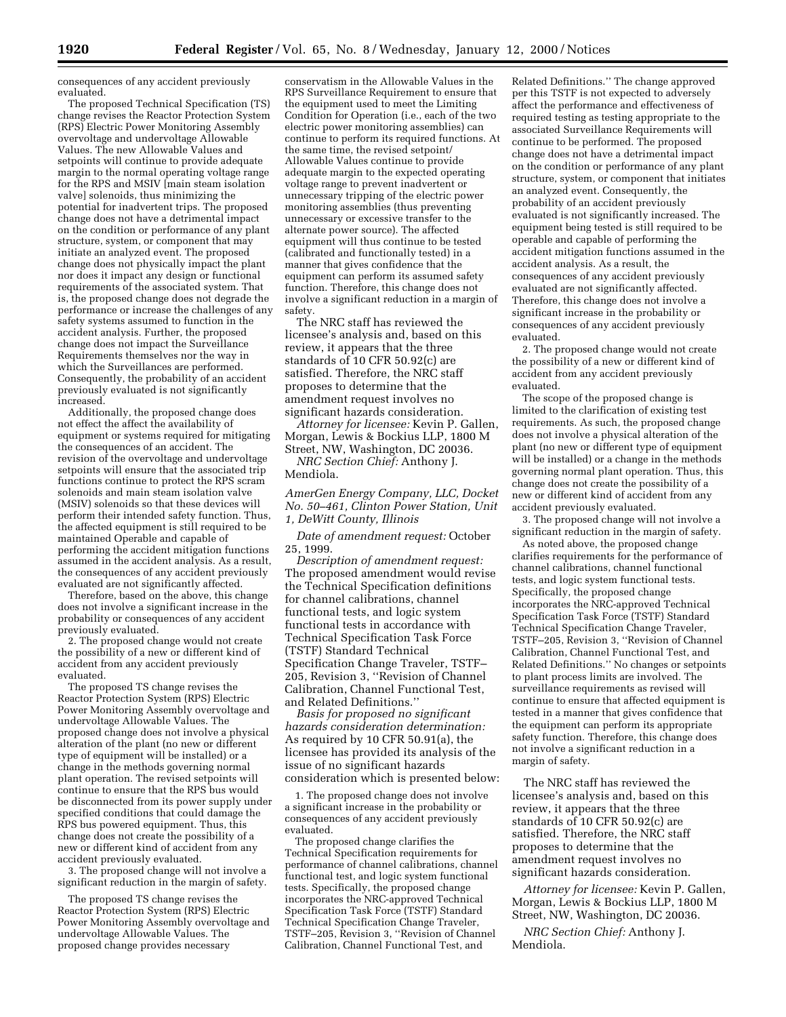consequences of any accident previously evaluated.

The proposed Technical Specification (TS) change revises the Reactor Protection System (RPS) Electric Power Monitoring Assembly overvoltage and undervoltage Allowable Values. The new Allowable Values and setpoints will continue to provide adequate margin to the normal operating voltage range for the RPS and MSIV [main steam isolation valve] solenoids, thus minimizing the potential for inadvertent trips. The proposed change does not have a detrimental impact on the condition or performance of any plant structure, system, or component that may initiate an analyzed event. The proposed change does not physically impact the plant nor does it impact any design or functional requirements of the associated system. That is, the proposed change does not degrade the performance or increase the challenges of any safety systems assumed to function in the accident analysis. Further, the proposed change does not impact the Surveillance Requirements themselves nor the way in which the Surveillances are performed. Consequently, the probability of an accident previously evaluated is not significantly increased.

Additionally, the proposed change does not effect the affect the availability of equipment or systems required for mitigating the consequences of an accident. The revision of the overvoltage and undervoltage setpoints will ensure that the associated trip functions continue to protect the RPS scram solenoids and main steam isolation valve (MSIV) solenoids so that these devices will perform their intended safety function. Thus, the affected equipment is still required to be maintained Operable and capable of performing the accident mitigation functions assumed in the accident analysis. As a result, the consequences of any accident previously evaluated are not significantly affected.

Therefore, based on the above, this change does not involve a significant increase in the probability or consequences of any accident previously evaluated.

2. The proposed change would not create the possibility of a new or different kind of accident from any accident previously evaluated.

The proposed TS change revises the Reactor Protection System (RPS) Electric Power Monitoring Assembly overvoltage and undervoltage Allowable Values. The proposed change does not involve a physical alteration of the plant (no new or different type of equipment will be installed) or a change in the methods governing normal plant operation. The revised setpoints will continue to ensure that the RPS bus would be disconnected from its power supply under specified conditions that could damage the RPS bus powered equipment. Thus, this change does not create the possibility of a new or different kind of accident from any accident previously evaluated.

3. The proposed change will not involve a significant reduction in the margin of safety.

The proposed TS change revises the Reactor Protection System (RPS) Electric Power Monitoring Assembly overvoltage and undervoltage Allowable Values. The proposed change provides necessary

conservatism in the Allowable Values in the RPS Surveillance Requirement to ensure that the equipment used to meet the Limiting Condition for Operation (i.e., each of the two electric power monitoring assemblies) can continue to perform its required functions. At the same time, the revised setpoint/ Allowable Values continue to provide adequate margin to the expected operating voltage range to prevent inadvertent or unnecessary tripping of the electric power monitoring assemblies (thus preventing unnecessary or excessive transfer to the alternate power source). The affected equipment will thus continue to be tested (calibrated and functionally tested) in a manner that gives confidence that the equipment can perform its assumed safety function. Therefore, this change does not involve a significant reduction in a margin of safety.

The NRC staff has reviewed the licensee's analysis and, based on this review, it appears that the three standards of 10 CFR 50.92(c) are satisfied. Therefore, the NRC staff proposes to determine that the amendment request involves no significant hazards consideration.

*Attorney for licensee:* Kevin P. Gallen, Morgan, Lewis & Bockius LLP, 1800 M Street, NW, Washington, DC 20036.

*NRC Section Chief:* Anthony J. Mendiola.

*AmerGen Energy Company, LLC, Docket No. 50–461, Clinton Power Station, Unit 1, DeWitt County, Illinois*

*Date of amendment request:* October 25, 1999.

*Description of amendment request:* The proposed amendment would revise the Technical Specification definitions for channel calibrations, channel functional tests, and logic system functional tests in accordance with Technical Specification Task Force (TSTF) Standard Technical Specification Change Traveler, TSTF– 205, Revision 3, ''Revision of Channel Calibration, Channel Functional Test, and Related Definitions.''

*Basis for proposed no significant hazards consideration determination:* As required by 10 CFR 50.91(a), the licensee has provided its analysis of the issue of no significant hazards consideration which is presented below:

1. The proposed change does not involve a significant increase in the probability or consequences of any accident previously evaluated.

The proposed change clarifies the Technical Specification requirements for performance of channel calibrations, channel functional test, and logic system functional tests. Specifically, the proposed change incorporates the NRC-approved Technical Specification Task Force (TSTF) Standard Technical Specification Change Traveler, TSTF–205, Revision 3, ''Revision of Channel Calibration, Channel Functional Test, and

Related Definitions.'' The change approved per this TSTF is not expected to adversely affect the performance and effectiveness of required testing as testing appropriate to the associated Surveillance Requirements will continue to be performed. The proposed change does not have a detrimental impact on the condition or performance of any plant structure, system, or component that initiates an analyzed event. Consequently, the probability of an accident previously evaluated is not significantly increased. The equipment being tested is still required to be operable and capable of performing the accident mitigation functions assumed in the accident analysis. As a result, the consequences of any accident previously evaluated are not significantly affected. Therefore, this change does not involve a significant increase in the probability or consequences of any accident previously evaluated.

2. The proposed change would not create the possibility of a new or different kind of accident from any accident previously evaluated.

The scope of the proposed change is limited to the clarification of existing test requirements. As such, the proposed change does not involve a physical alteration of the plant (no new or different type of equipment will be installed) or a change in the methods governing normal plant operation. Thus, this change does not create the possibility of a new or different kind of accident from any accident previously evaluated.

3. The proposed change will not involve a significant reduction in the margin of safety.

As noted above, the proposed change clarifies requirements for the performance of channel calibrations, channel functional tests, and logic system functional tests. Specifically, the proposed change incorporates the NRC-approved Technical Specification Task Force (TSTF) Standard Technical Specification Change Traveler, TSTF–205, Revision 3, ''Revision of Channel Calibration, Channel Functional Test, and Related Definitions.'' No changes or setpoints to plant process limits are involved. The surveillance requirements as revised will continue to ensure that affected equipment is tested in a manner that gives confidence that the equipment can perform its appropriate safety function. Therefore, this change does not involve a significant reduction in a margin of safety.

The NRC staff has reviewed the licensee's analysis and, based on this review, it appears that the three standards of 10 CFR 50.92(c) are satisfied. Therefore, the NRC staff proposes to determine that the amendment request involves no significant hazards consideration.

*Attorney for licensee:* Kevin P. Gallen, Morgan, Lewis & Bockius LLP, 1800 M Street, NW, Washington, DC 20036.

*NRC Section Chief:* Anthony J. Mendiola.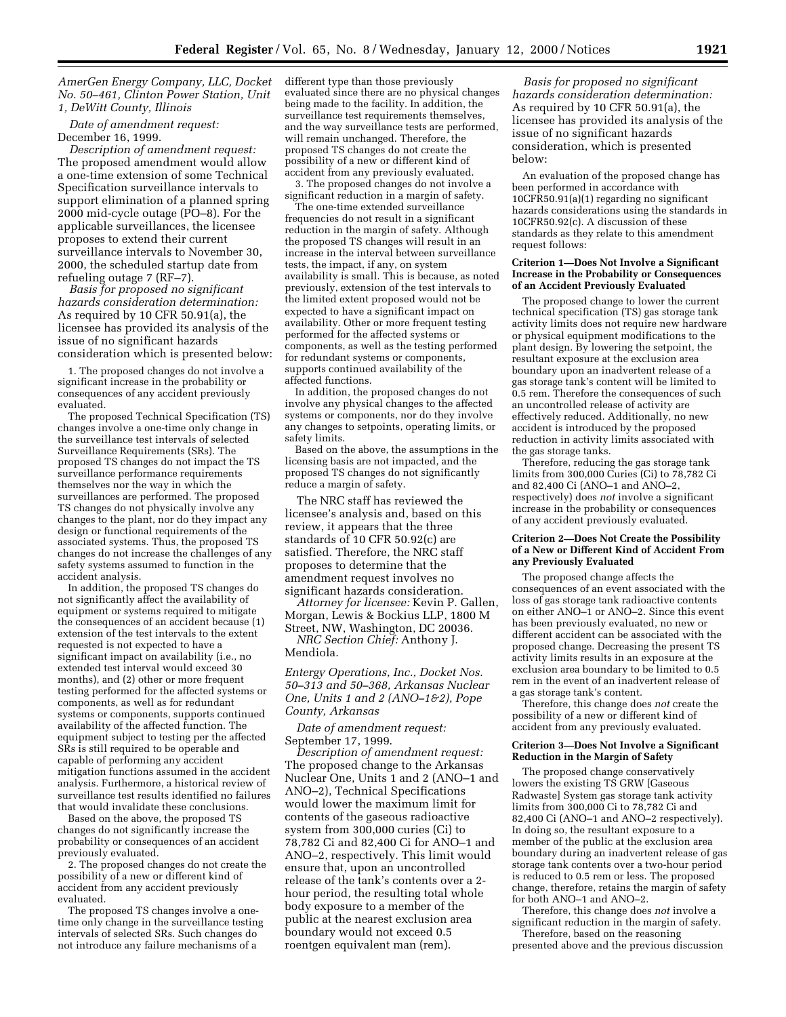*AmerGen Energy Company, LLC, Docket No. 50–461, Clinton Power Station, Unit 1, DeWitt County, Illinois*

*Date of amendment request:* December 16, 1999.

*Description of amendment request:* The proposed amendment would allow a one-time extension of some Technical Specification surveillance intervals to support elimination of a planned spring 2000 mid-cycle outage (PO–8). For the applicable surveillances, the licensee proposes to extend their current surveillance intervals to November 30, 2000, the scheduled startup date from refueling outage 7 (RF–7).

*Basis for proposed no significant hazards consideration determination:* As required by 10 CFR 50.91(a), the licensee has provided its analysis of the issue of no significant hazards consideration which is presented below:

1. The proposed changes do not involve a significant increase in the probability or consequences of any accident previously evaluated.

The proposed Technical Specification (TS) changes involve a one-time only change in the surveillance test intervals of selected Surveillance Requirements (SRs). The proposed TS changes do not impact the TS surveillance performance requirements themselves nor the way in which the surveillances are performed. The proposed TS changes do not physically involve any changes to the plant, nor do they impact any design or functional requirements of the associated systems. Thus, the proposed TS changes do not increase the challenges of any safety systems assumed to function in the accident analysis.

In addition, the proposed TS changes do not significantly affect the availability of equipment or systems required to mitigate the consequences of an accident because (1) extension of the test intervals to the extent requested is not expected to have a significant impact on availability (i.e., no extended test interval would exceed 30 months), and (2) other or more frequent testing performed for the affected systems or components, as well as for redundant systems or components, supports continued availability of the affected function. The equipment subject to testing per the affected SRs is still required to be operable and capable of performing any accident mitigation functions assumed in the accident analysis. Furthermore, a historical review of surveillance test results identified no failures that would invalidate these conclusions.

Based on the above, the proposed TS changes do not significantly increase the probability or consequences of an accident previously evaluated.

2. The proposed changes do not create the possibility of a new or different kind of accident from any accident previously evaluated.

The proposed TS changes involve a onetime only change in the surveillance testing intervals of selected SRs. Such changes do not introduce any failure mechanisms of a

different type than those previously evaluated since there are no physical changes being made to the facility. In addition, the surveillance test requirements themselves, and the way surveillance tests are performed, will remain unchanged. Therefore, the proposed TS changes do not create the possibility of a new or different kind of accident from any previously evaluated.

3. The proposed changes do not involve a significant reduction in a margin of safety.

The one-time extended surveillance frequencies do not result in a significant reduction in the margin of safety. Although the proposed TS changes will result in an increase in the interval between surveillance tests, the impact, if any, on system availability is small. This is because, as noted previously, extension of the test intervals to the limited extent proposed would not be expected to have a significant impact on availability. Other or more frequent testing performed for the affected systems or components, as well as the testing performed for redundant systems or components, supports continued availability of the affected functions.

In addition, the proposed changes do not involve any physical changes to the affected systems or components, nor do they involve any changes to setpoints, operating limits, or safety limits.

Based on the above, the assumptions in the licensing basis are not impacted, and the proposed TS changes do not significantly reduce a margin of safety.

The NRC staff has reviewed the licensee's analysis and, based on this review, it appears that the three standards of 10 CFR 50.92(c) are satisfied. Therefore, the NRC staff proposes to determine that the amendment request involves no significant hazards consideration.

*Attorney for licensee:* Kevin P. Gallen, Morgan, Lewis & Bockius LLP, 1800 M Street, NW, Washington, DC 20036.

*NRC Section Chief:* Anthony J. Mendiola.

*Entergy Operations, Inc., Docket Nos. 50–313 and 50–368, Arkansas Nuclear One, Units 1 and 2 (ANO–1&2), Pope County, Arkansas*

*Date of amendment request:* September 17, 1999.

*Description of amendment request:* The proposed change to the Arkansas Nuclear One, Units 1 and 2 (ANO–1 and ANO–2), Technical Specifications would lower the maximum limit for contents of the gaseous radioactive system from 300,000 curies (Ci) to 78,782 Ci and 82,400 Ci for ANO–1 and ANO–2, respectively. This limit would ensure that, upon an uncontrolled release of the tank's contents over a 2 hour period, the resulting total whole body exposure to a member of the public at the nearest exclusion area boundary would not exceed 0.5 roentgen equivalent man (rem).

*Basis for proposed no significant hazards consideration determination:* As required by 10 CFR 50.91(a), the licensee has provided its analysis of the issue of no significant hazards consideration, which is presented below:

An evaluation of the proposed change has been performed in accordance with 10CFR50.91(a)(1) regarding no significant hazards considerations using the standards in 10CFR50.92(c). A discussion of these standards as they relate to this amendment request follows:

#### **Criterion 1—Does Not Involve a Significant Increase in the Probability or Consequences of an Accident Previously Evaluated**

The proposed change to lower the current technical specification (TS) gas storage tank activity limits does not require new hardware or physical equipment modifications to the plant design. By lowering the setpoint, the resultant exposure at the exclusion area boundary upon an inadvertent release of a gas storage tank's content will be limited to 0.5 rem. Therefore the consequences of such an uncontrolled release of activity are effectively reduced. Additionally, no new accident is introduced by the proposed reduction in activity limits associated with the gas storage tanks.

Therefore, reducing the gas storage tank limits from 300,000 Curies (Ci) to 78,782 Ci and 82,400 Ci (ANO–1 and ANO–2, respectively) does *not* involve a significant increase in the probability or consequences of any accident previously evaluated.

#### **Criterion 2—Does Not Create the Possibility of a New or Different Kind of Accident From any Previously Evaluated**

The proposed change affects the consequences of an event associated with the loss of gas storage tank radioactive contents on either ANO–1 or ANO–2. Since this event has been previously evaluated, no new or different accident can be associated with the proposed change. Decreasing the present TS activity limits results in an exposure at the exclusion area boundary to be limited to 0.5 rem in the event of an inadvertent release of a gas storage tank's content.

Therefore, this change does *not* create the possibility of a new or different kind of accident from any previously evaluated.

#### **Criterion 3—Does Not Involve a Significant Reduction in the Margin of Safety**

The proposed change conservatively lowers the existing TS GRW [Gaseous] Radwaste] System gas storage tank activity limits from 300,000 Ci to 78,782 Ci and 82,400 Ci (ANO–1 and ANO–2 respectively). In doing so, the resultant exposure to a member of the public at the exclusion area boundary during an inadvertent release of gas storage tank contents over a two-hour period is reduced to 0.5 rem or less. The proposed change, therefore, retains the margin of safety for both ANO–1 and ANO–2.

Therefore, this change does *not* involve a significant reduction in the margin of safety. Therefore, based on the reasoning

presented above and the previous discussion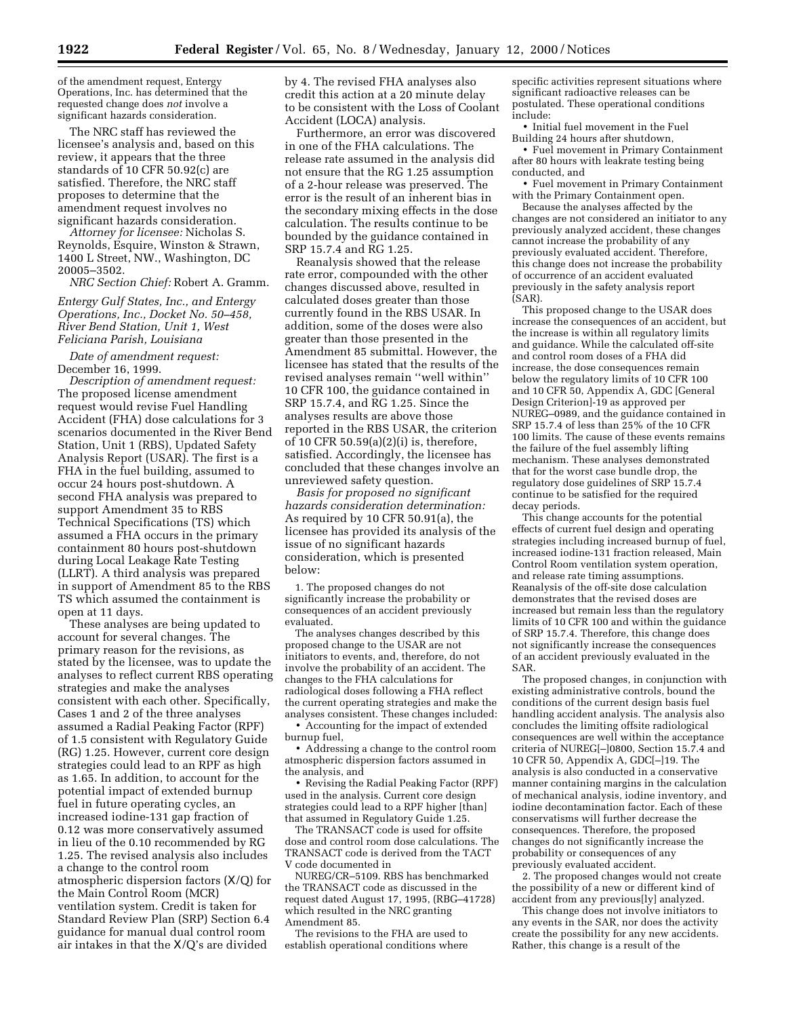of the amendment request, Entergy Operations, Inc. has determined that the requested change does *not* involve a significant hazards consideration.

The NRC staff has reviewed the licensee's analysis and, based on this review, it appears that the three standards of 10 CFR 50.92(c) are satisfied. Therefore, the NRC staff proposes to determine that the amendment request involves no significant hazards consideration.

*Attorney for licensee:* Nicholas S. Reynolds, Esquire, Winston & Strawn, 1400 L Street, NW., Washington, DC 20005–3502.

*NRC Section Chief:* Robert A. Gramm.

*Entergy Gulf States, Inc., and Entergy Operations, Inc., Docket No. 50–458, River Bend Station, Unit 1, West Feliciana Parish, Louisiana*

*Date of amendment request:* December 16, 1999.

*Description of amendment request:* The proposed license amendment request would revise Fuel Handling Accident (FHA) dose calculations for 3 scenarios documented in the River Bend Station, Unit 1 (RBS), Updated Safety Analysis Report (USAR). The first is a FHA in the fuel building, assumed to occur 24 hours post-shutdown. A second FHA analysis was prepared to support Amendment 35 to RBS Technical Specifications (TS) which assumed a FHA occurs in the primary containment 80 hours post-shutdown during Local Leakage Rate Testing (LLRT). A third analysis was prepared in support of Amendment 85 to the RBS TS which assumed the containment is open at 11 days.

These analyses are being updated to account for several changes. The primary reason for the revisions, as stated by the licensee, was to update the analyses to reflect current RBS operating strategies and make the analyses consistent with each other. Specifically, Cases 1 and 2 of the three analyses assumed a Radial Peaking Factor (RPF) of 1.5 consistent with Regulatory Guide (RG) 1.25. However, current core design strategies could lead to an RPF as high as 1.65. In addition, to account for the potential impact of extended burnup fuel in future operating cycles, an increased iodine-131 gap fraction of 0.12 was more conservatively assumed in lieu of the 0.10 recommended by RG 1.25. The revised analysis also includes a change to the control room atmospheric dispersion factors (Χ/Q) for the Main Control Room (MCR) ventilation system. Credit is taken for Standard Review Plan (SRP) Section 6.4 guidance for manual dual control room air intakes in that the Χ/Q's are divided

by 4. The revised FHA analyses also credit this action at a 20 minute delay to be consistent with the Loss of Coolant Accident (LOCA) analysis.

Furthermore, an error was discovered in one of the FHA calculations. The release rate assumed in the analysis did not ensure that the RG 1.25 assumption of a 2-hour release was preserved. The error is the result of an inherent bias in the secondary mixing effects in the dose calculation. The results continue to be bounded by the guidance contained in SRP 15.7.4 and RG 1.25.

Reanalysis showed that the release rate error, compounded with the other changes discussed above, resulted in calculated doses greater than those currently found in the RBS USAR. In addition, some of the doses were also greater than those presented in the Amendment 85 submittal. However, the licensee has stated that the results of the revised analyses remain ''well within'' 10 CFR 100, the guidance contained in SRP 15.7.4, and RG 1.25. Since the analyses results are above those reported in the RBS USAR, the criterion of 10 CFR 50.59(a)(2)(i) is, therefore, satisfied. Accordingly, the licensee has concluded that these changes involve an unreviewed safety question.

*Basis for proposed no significant hazards consideration determination:* As required by 10 CFR 50.91(a), the licensee has provided its analysis of the issue of no significant hazards consideration, which is presented below:

1. The proposed changes do not significantly increase the probability or consequences of an accident previously evaluated.

The analyses changes described by this proposed change to the USAR are not initiators to events, and, therefore, do not involve the probability of an accident. The changes to the FHA calculations for radiological doses following a FHA reflect the current operating strategies and make the analyses consistent. These changes included:

• Accounting for the impact of extended burnup fuel,

• Addressing a change to the control room atmospheric dispersion factors assumed in the analysis, and

• Revising the Radial Peaking Factor (RPF) used in the analysis. Current core design strategies could lead to a RPF higher [than] that assumed in Regulatory Guide 1.25.

The TRANSACT code is used for offsite dose and control room dose calculations. The TRANSACT code is derived from the TACT V code documented in

NUREG/CR–5109. RBS has benchmarked the TRANSACT code as discussed in the request dated August 17, 1995, (RBG–41728) which resulted in the NRC granting Amendment 85.

The revisions to the FHA are used to establish operational conditions where

specific activities represent situations where significant radioactive releases can be postulated. These operational conditions include:

• Initial fuel movement in the Fuel Building 24 hours after shutdown,

• Fuel movement in Primary Containment after 80 hours with leakrate testing being conducted, and

• Fuel movement in Primary Containment with the Primary Containment open.

Because the analyses affected by the changes are not considered an initiator to any previously analyzed accident, these changes cannot increase the probability of any previously evaluated accident. Therefore, this change does not increase the probability of occurrence of an accident evaluated previously in the safety analysis report  $(SAR)$ .

This proposed change to the USAR does increase the consequences of an accident, but the increase is within all regulatory limits and guidance. While the calculated off-site and control room doses of a FHA did increase, the dose consequences remain below the regulatory limits of 10 CFR 100 and 10 CFR 50, Appendix A, GDC [General Design Criterion]-19 as approved per NUREG–0989, and the guidance contained in SRP 15.7.4 of less than 25% of the 10 CFR 100 limits. The cause of these events remains the failure of the fuel assembly lifting mechanism. These analyses demonstrated that for the worst case bundle drop, the regulatory dose guidelines of SRP 15.7.4 continue to be satisfied for the required decay periods.

This change accounts for the potential effects of current fuel design and operating strategies including increased burnup of fuel, increased iodine-131 fraction released, Main Control Room ventilation system operation, and release rate timing assumptions. Reanalysis of the off-site dose calculation demonstrates that the revised doses are increased but remain less than the regulatory limits of 10 CFR 100 and within the guidance of SRP 15.7.4. Therefore, this change does not significantly increase the consequences of an accident previously evaluated in the SAR.

The proposed changes, in conjunction with existing administrative controls, bound the conditions of the current design basis fuel handling accident analysis. The analysis also concludes the limiting offsite radiological consequences are well within the acceptance criteria of NUREG[–]0800, Section 15.7.4 and 10 CFR 50, Appendix A, GDC[–]19. The analysis is also conducted in a conservative manner containing margins in the calculation of mechanical analysis, iodine inventory, and iodine decontamination factor. Each of these conservatisms will further decrease the consequences. Therefore, the proposed changes do not significantly increase the probability or consequences of any previously evaluated accident.

2. The proposed changes would not create the possibility of a new or different kind of accident from any previous[ly] analyzed.

This change does not involve initiators to any events in the SAR, nor does the activity create the possibility for any new accidents. Rather, this change is a result of the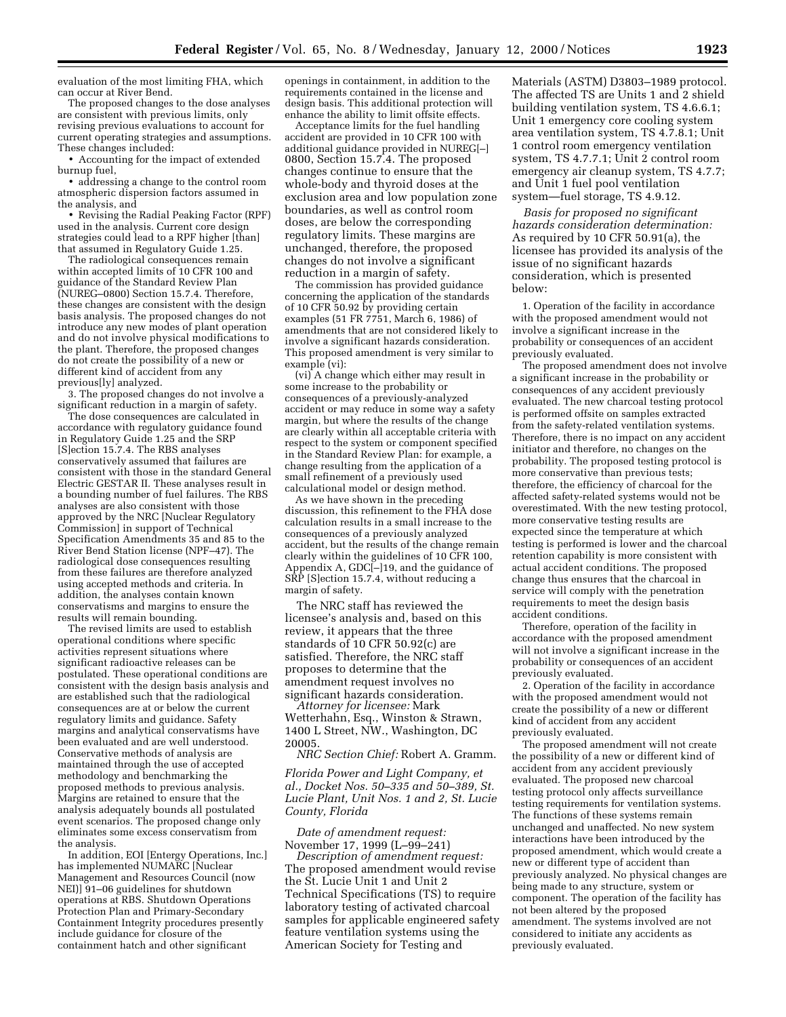evaluation of the most limiting FHA, which can occur at River Bend.

The proposed changes to the dose analyses are consistent with previous limits, only revising previous evaluations to account for current operating strategies and assumptions. These changes included:

• Accounting for the impact of extended burnup fuel,

• addressing a change to the control room atmospheric dispersion factors assumed in the analysis, and

• Revising the Radial Peaking Factor (RPF) used in the analysis. Current core design strategies could lead to a RPF higher [than] that assumed in Regulatory Guide 1.25.

The radiological consequences remain within accepted limits of 10 CFR 100 and guidance of the Standard Review Plan (NUREG–0800) Section 15.7.4. Therefore, these changes are consistent with the design basis analysis. The proposed changes do not introduce any new modes of plant operation and do not involve physical modifications to the plant. Therefore, the proposed changes do not create the possibility of a new or different kind of accident from any previous[ly] analyzed.

3. The proposed changes do not involve a significant reduction in a margin of safety.

The dose consequences are calculated in accordance with regulatory guidance found in Regulatory Guide 1.25 and the SRP [S]ection 15.7.4. The RBS analyses conservatively assumed that failures are consistent with those in the standard General Electric GESTAR II. These analyses result in a bounding number of fuel failures. The RBS analyses are also consistent with those approved by the NRC [Nuclear Regulatory Commission] in support of Technical Specification Amendments 35 and 85 to the River Bend Station license (NPF–47). The radiological dose consequences resulting from these failures are therefore analyzed using accepted methods and criteria. In addition, the analyses contain known conservatisms and margins to ensure the results will remain bounding.

The revised limits are used to establish operational conditions where specific activities represent situations where significant radioactive releases can be postulated. These operational conditions are consistent with the design basis analysis and are established such that the radiological consequences are at or below the current regulatory limits and guidance. Safety margins and analytical conservatisms have been evaluated and are well understood. Conservative methods of analysis are maintained through the use of accepted methodology and benchmarking the proposed methods to previous analysis. Margins are retained to ensure that the analysis adequately bounds all postulated event scenarios. The proposed change only eliminates some excess conservatism from the analysis.

In addition, EOI [Entergy Operations, Inc.] has implemented NUMARC [Nuclear Management and Resources Council (now NEI)] 91–06 guidelines for shutdown operations at RBS. Shutdown Operations Protection Plan and Primary-Secondary Containment Integrity procedures presently include guidance for closure of the containment hatch and other significant

openings in containment, in addition to the requirements contained in the license and design basis. This additional protection will enhance the ability to limit offsite effects.

Acceptance limits for the fuel handling accident are provided in 10 CFR 100 with additional guidance provided in NUREG[–] 0800, Section 15.7.4. The proposed changes continue to ensure that the whole-body and thyroid doses at the exclusion area and low population zone boundaries, as well as control room doses, are below the corresponding regulatory limits. These margins are unchanged, therefore, the proposed changes do not involve a significant reduction in a margin of safety.

The commission has provided guidance concerning the application of the standards of 10 CFR 50.92 by providing certain examples (51 FR 7751, March 6, 1986) of amendments that are not considered likely to involve a significant hazards consideration. This proposed amendment is very similar to example (vi):

(vi) A change which either may result in some increase to the probability or consequences of a previously-analyzed accident or may reduce in some way a safety margin, but where the results of the change are clearly within all acceptable criteria with respect to the system or component specified in the Standard Review Plan: for example, a change resulting from the application of a small refinement of a previously used calculational model or design method.

As we have shown in the preceding discussion, this refinement to the FHA dose calculation results in a small increase to the consequences of a previously analyzed accident, but the results of the change remain clearly within the guidelines of 10 CFR 100, Appendix A, GDC[–]19, and the guidance of SRP [S]ection 15.7.4, without reducing a margin of safety.

The NRC staff has reviewed the licensee's analysis and, based on this review, it appears that the three standards of 10 CFR 50.92(c) are satisfied. Therefore, the NRC staff proposes to determine that the amendment request involves no

significant hazards consideration. *Attorney for licensee:* Mark Wetterhahn, Esq., Winston & Strawn, 1400 L Street, NW., Washington, DC 20005.

*NRC Section Chief:* Robert A. Gramm.

*Florida Power and Light Company, et al., Docket Nos. 50–335 and 50–389, St. Lucie Plant, Unit Nos. 1 and 2, St. Lucie County, Florida*

*Date of amendment request:* November 17, 1999 (L–99–241)

*Description of amendment request:* The proposed amendment would revise the St. Lucie Unit 1 and Unit 2 Technical Specifications (TS) to require laboratory testing of activated charcoal samples for applicable engineered safety feature ventilation systems using the American Society for Testing and

Materials (ASTM) D3803–1989 protocol. The affected TS are Units 1 and 2 shield building ventilation system, TS 4.6.6.1; Unit 1 emergency core cooling system area ventilation system, TS 4.7.8.1; Unit 1 control room emergency ventilation system, TS 4.7.7.1; Unit 2 control room emergency air cleanup system, TS 4.7.7; and Unit 1 fuel pool ventilation system—fuel storage, TS 4.9.12.

*Basis for proposed no significant hazards consideration determination:* As required by 10 CFR 50.91(a), the licensee has provided its analysis of the issue of no significant hazards consideration, which is presented below:

1. Operation of the facility in accordance with the proposed amendment would not involve a significant increase in the probability or consequences of an accident previously evaluated.

The proposed amendment does not involve a significant increase in the probability or consequences of any accident previously evaluated. The new charcoal testing protocol is performed offsite on samples extracted from the safety-related ventilation systems. Therefore, there is no impact on any accident initiator and therefore, no changes on the probability. The proposed testing protocol is more conservative than previous tests; therefore, the efficiency of charcoal for the affected safety-related systems would not be overestimated. With the new testing protocol, more conservative testing results are expected since the temperature at which testing is performed is lower and the charcoal retention capability is more consistent with actual accident conditions. The proposed change thus ensures that the charcoal in service will comply with the penetration requirements to meet the design basis accident conditions.

Therefore, operation of the facility in accordance with the proposed amendment will not involve a significant increase in the probability or consequences of an accident previously evaluated.

2. Operation of the facility in accordance with the proposed amendment would not create the possibility of a new or different kind of accident from any accident previously evaluated.

The proposed amendment will not create the possibility of a new or different kind of accident from any accident previously evaluated. The proposed new charcoal testing protocol only affects surveillance testing requirements for ventilation systems. The functions of these systems remain unchanged and unaffected. No new system interactions have been introduced by the proposed amendment, which would create a new or different type of accident than previously analyzed. No physical changes are being made to any structure, system or component. The operation of the facility has not been altered by the proposed amendment. The systems involved are not considered to initiate any accidents as previously evaluated.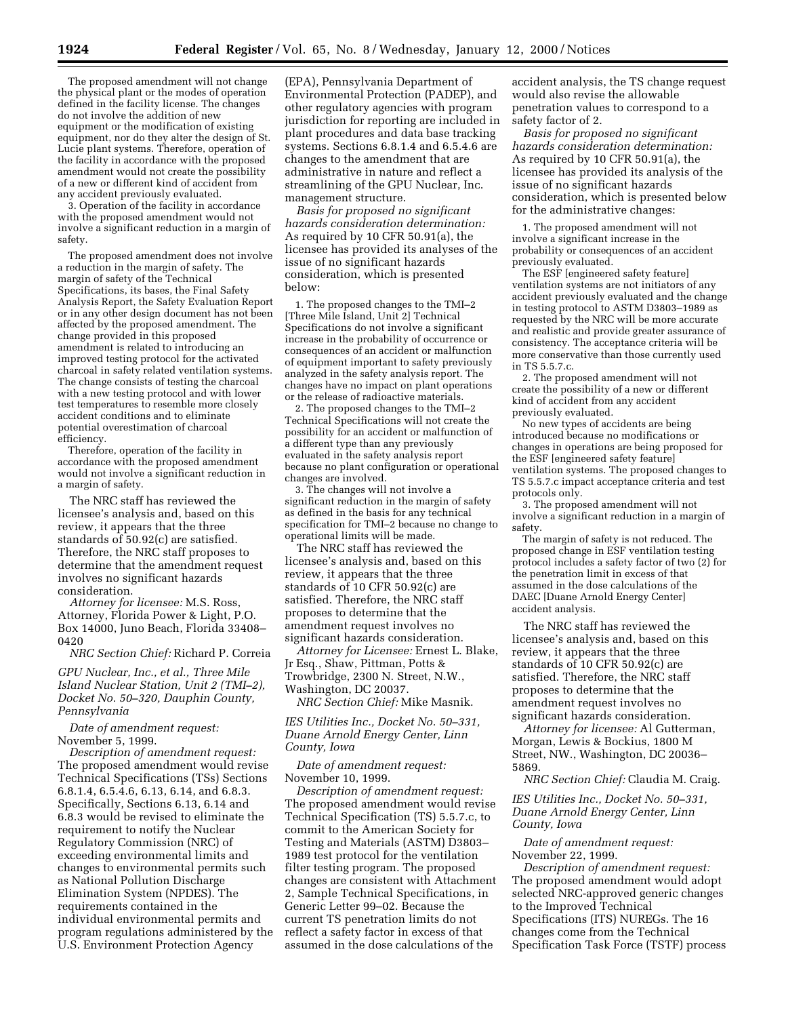The proposed amendment will not change the physical plant or the modes of operation defined in the facility license. The changes do not involve the addition of new equipment or the modification of existing equipment, nor do they alter the design of St. Lucie plant systems. Therefore, operation of the facility in accordance with the proposed amendment would not create the possibility of a new or different kind of accident from any accident previously evaluated.

3. Operation of the facility in accordance with the proposed amendment would not involve a significant reduction in a margin of safety.

The proposed amendment does not involve a reduction in the margin of safety. The margin of safety of the Technical Specifications, its bases, the Final Safety Analysis Report, the Safety Evaluation Report or in any other design document has not been affected by the proposed amendment. The change provided in this proposed amendment is related to introducing an improved testing protocol for the activated charcoal in safety related ventilation systems. The change consists of testing the charcoal with a new testing protocol and with lower test temperatures to resemble more closely accident conditions and to eliminate potential overestimation of charcoal efficiency.

Therefore, operation of the facility in accordance with the proposed amendment would not involve a significant reduction in a margin of safety.

The NRC staff has reviewed the licensee's analysis and, based on this review, it appears that the three standards of 50.92(c) are satisfied. Therefore, the NRC staff proposes to determine that the amendment request involves no significant hazards consideration.

*Attorney for licensee:* M.S. Ross, Attorney, Florida Power & Light, P.O. Box 14000, Juno Beach, Florida 33408– 0420

*NRC Section Chief:* Richard P. Correia

*GPU Nuclear, Inc., et al., Three Mile Island Nuclear Station, Unit 2 (TMI–2), Docket No. 50–320, Dauphin County, Pennsylvania*

*Date of amendment request:* November 5, 1999.

*Description of amendment request:* The proposed amendment would revise Technical Specifications (TSs) Sections 6.8.1.4, 6.5.4.6, 6.13, 6.14, and 6.8.3. Specifically, Sections 6.13, 6.14 and 6.8.3 would be revised to eliminate the requirement to notify the Nuclear Regulatory Commission (NRC) of exceeding environmental limits and changes to environmental permits such as National Pollution Discharge Elimination System (NPDES). The requirements contained in the individual environmental permits and program regulations administered by the U.S. Environment Protection Agency

(EPA), Pennsylvania Department of Environmental Protection (PADEP), and other regulatory agencies with program jurisdiction for reporting are included in plant procedures and data base tracking systems. Sections 6.8.1.4 and 6.5.4.6 are changes to the amendment that are administrative in nature and reflect a streamlining of the GPU Nuclear, Inc. management structure.

*Basis for proposed no significant hazards consideration determination:* As required by 10 CFR 50.91(a), the licensee has provided its analyses of the issue of no significant hazards consideration, which is presented below:

1. The proposed changes to the TMI–2 [Three Mile Island, Unit 2] Technical Specifications do not involve a significant increase in the probability of occurrence or consequences of an accident or malfunction of equipment important to safety previously analyzed in the safety analysis report. The changes have no impact on plant operations or the release of radioactive materials.

2. The proposed changes to the TMI–2 Technical Specifications will not create the possibility for an accident or malfunction of a different type than any previously evaluated in the safety analysis report because no plant configuration or operational changes are involved.

3. The changes will not involve a significant reduction in the margin of safety as defined in the basis for any technical specification for TMI–2 because no change to operational limits will be made.

The NRC staff has reviewed the licensee's analysis and, based on this review, it appears that the three standards of 10 CFR 50.92(c) are satisfied. Therefore, the NRC staff proposes to determine that the amendment request involves no significant hazards consideration.

*Attorney for Licensee:* Ernest L. Blake, Jr Esq., Shaw, Pittman, Potts & Trowbridge, 2300 N. Street, N.W., Washington, DC 20037.

*NRC Section Chief:* Mike Masnik.

*IES Utilities Inc., Docket No. 50–331, Duane Arnold Energy Center, Linn County, Iowa*

*Date of amendment request:* November 10, 1999.

*Description of amendment request:* The proposed amendment would revise Technical Specification (TS) 5.5.7.c, to commit to the American Society for Testing and Materials (ASTM) D3803– 1989 test protocol for the ventilation filter testing program. The proposed changes are consistent with Attachment 2, Sample Technical Specifications, in Generic Letter 99–02. Because the current TS penetration limits do not reflect a safety factor in excess of that assumed in the dose calculations of the

accident analysis, the TS change request would also revise the allowable penetration values to correspond to a safety factor of 2.

*Basis for proposed no significant hazards consideration determination:* As required by 10 CFR 50.91(a), the licensee has provided its analysis of the issue of no significant hazards consideration, which is presented below for the administrative changes:

1. The proposed amendment will not involve a significant increase in the probability or consequences of an accident previously evaluated.

The ESF [engineered safety feature] ventilation systems are not initiators of any accident previously evaluated and the change in testing protocol to ASTM D3803–1989 as requested by the NRC will be more accurate and realistic and provide greater assurance of consistency. The acceptance criteria will be more conservative than those currently used in TS 5.5.7.c.

2. The proposed amendment will not create the possibility of a new or different kind of accident from any accident previously evaluated.

No new types of accidents are being introduced because no modifications or changes in operations are being proposed for the ESF [engineered safety feature] ventilation systems. The proposed changes to TS 5.5.7.c impact acceptance criteria and test protocols only.

3. The proposed amendment will not involve a significant reduction in a margin of safety.

The margin of safety is not reduced. The proposed change in ESF ventilation testing protocol includes a safety factor of two (2) for the penetration limit in excess of that assumed in the dose calculations of the DAEC [Duane Arnold Energy Center] accident analysis.

The NRC staff has reviewed the licensee's analysis and, based on this review, it appears that the three standards of 10 CFR 50.92(c) are satisfied. Therefore, the NRC staff proposes to determine that the amendment request involves no significant hazards consideration.

*Attorney for licensee:* Al Gutterman, Morgan, Lewis & Bockius, 1800 M Street, NW., Washington, DC 20036– 5869.

*NRC Section Chief:* Claudia M. Craig.

*IES Utilities Inc., Docket No. 50–331, Duane Arnold Energy Center, Linn County, Iowa*

*Date of amendment request:* November 22, 1999.

*Description of amendment request:* The proposed amendment would adopt selected NRC-approved generic changes to the Improved Technical Specifications (ITS) NUREGs. The 16 changes come from the Technical Specification Task Force (TSTF) process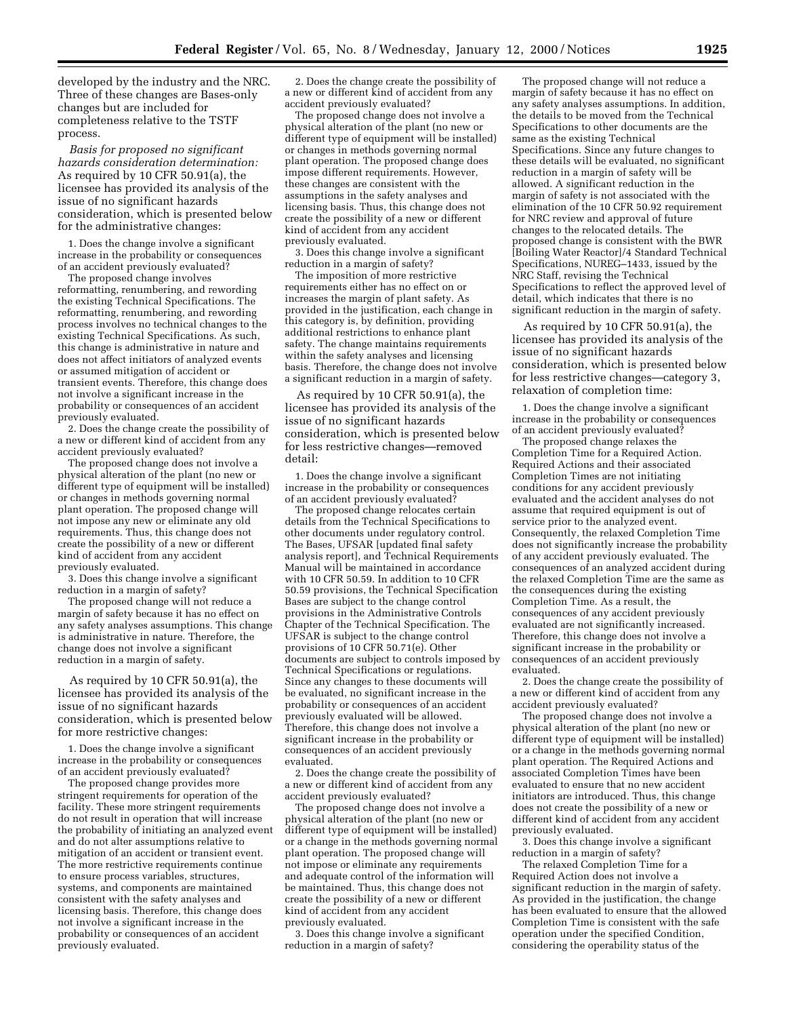developed by the industry and the NRC. Three of these changes are Bases-only changes but are included for completeness relative to the TSTF process.

*Basis for proposed no significant hazards consideration determination:* As required by 10 CFR 50.91(a), the licensee has provided its analysis of the issue of no significant hazards consideration, which is presented below for the administrative changes:

1. Does the change involve a significant increase in the probability or consequences of an accident previously evaluated?

The proposed change involves reformatting, renumbering, and rewording the existing Technical Specifications. The reformatting, renumbering, and rewording process involves no technical changes to the existing Technical Specifications. As such, this change is administrative in nature and does not affect initiators of analyzed events or assumed mitigation of accident or transient events. Therefore, this change does not involve a significant increase in the probability or consequences of an accident previously evaluated.

2. Does the change create the possibility of a new or different kind of accident from any accident previously evaluated?

The proposed change does not involve a physical alteration of the plant (no new or different type of equipment will be installed) or changes in methods governing normal plant operation. The proposed change will not impose any new or eliminate any old requirements. Thus, this change does not create the possibility of a new or different kind of accident from any accident previously evaluated.

3. Does this change involve a significant reduction in a margin of safety?

The proposed change will not reduce a margin of safety because it has no effect on any safety analyses assumptions. This change is administrative in nature. Therefore, the change does not involve a significant reduction in a margin of safety.

As required by 10 CFR 50.91(a), the licensee has provided its analysis of the issue of no significant hazards consideration, which is presented below for more restrictive changes:

1. Does the change involve a significant increase in the probability or consequences of an accident previously evaluated?

The proposed change provides more stringent requirements for operation of the facility. These more stringent requirements do not result in operation that will increase the probability of initiating an analyzed event and do not alter assumptions relative to mitigation of an accident or transient event. The more restrictive requirements continue to ensure process variables, structures, systems, and components are maintained consistent with the safety analyses and licensing basis. Therefore, this change does not involve a significant increase in the probability or consequences of an accident previously evaluated.

2. Does the change create the possibility of a new or different kind of accident from any accident previously evaluated?

The proposed change does not involve a physical alteration of the plant (no new or different type of equipment will be installed) or changes in methods governing normal plant operation. The proposed change does impose different requirements. However, these changes are consistent with the assumptions in the safety analyses and licensing basis. Thus, this change does not create the possibility of a new or different kind of accident from any accident previously evaluated.

3. Does this change involve a significant reduction in a margin of safety?

The imposition of more restrictive requirements either has no effect on or increases the margin of plant safety. As provided in the justification, each change in this category is, by definition, providing additional restrictions to enhance plant safety. The change maintains requirements within the safety analyses and licensing basis. Therefore, the change does not involve a significant reduction in a margin of safety.

As required by 10 CFR 50.91(a), the licensee has provided its analysis of the issue of no significant hazards consideration, which is presented below for less restrictive changes—removed detail:

1. Does the change involve a significant increase in the probability or consequences of an accident previously evaluated?

The proposed change relocates certain details from the Technical Specifications to other documents under regulatory control. The Bases, UFSAR [updated final safety analysis report], and Technical Requirements Manual will be maintained in accordance with 10 CFR 50.59. In addition to 10 CFR 50.59 provisions, the Technical Specification Bases are subject to the change control provisions in the Administrative Controls Chapter of the Technical Specification. The UFSAR is subject to the change control provisions of 10 CFR 50.71(e). Other documents are subject to controls imposed by Technical Specifications or regulations. Since any changes to these documents will be evaluated, no significant increase in the probability or consequences of an accident previously evaluated will be allowed. Therefore, this change does not involve a significant increase in the probability or consequences of an accident previously evaluated.

2. Does the change create the possibility of a new or different kind of accident from any accident previously evaluated?

The proposed change does not involve a physical alteration of the plant (no new or different type of equipment will be installed) or a change in the methods governing normal plant operation. The proposed change will not impose or eliminate any requirements and adequate control of the information will be maintained. Thus, this change does not create the possibility of a new or different kind of accident from any accident previously evaluated.

3. Does this change involve a significant reduction in a margin of safety?

The proposed change will not reduce a margin of safety because it has no effect on any safety analyses assumptions. In addition, the details to be moved from the Technical Specifications to other documents are the same as the existing Technical Specifications. Since any future changes to these details will be evaluated, no significant reduction in a margin of safety will be allowed. A significant reduction in the margin of safety is not associated with the elimination of the 10 CFR 50.92 requirement for NRC review and approval of future changes to the relocated details. The proposed change is consistent with the BWR [Boiling Water Reactor]/4 Standard Technical Specifications, NUREG–1433, issued by the NRC Staff, revising the Technical Specifications to reflect the approved level of detail, which indicates that there is no significant reduction in the margin of safety.

As required by 10 CFR 50.91(a), the licensee has provided its analysis of the issue of no significant hazards consideration, which is presented below for less restrictive changes—category 3, relaxation of completion time:

1. Does the change involve a significant increase in the probability or consequences of an accident previously evaluated?

The proposed change relaxes the Completion Time for a Required Action. Required Actions and their associated Completion Times are not initiating conditions for any accident previously evaluated and the accident analyses do not assume that required equipment is out of service prior to the analyzed event. Consequently, the relaxed Completion Time does not significantly increase the probability of any accident previously evaluated. The consequences of an analyzed accident during the relaxed Completion Time are the same as the consequences during the existing Completion Time. As a result, the consequences of any accident previously evaluated are not significantly increased. Therefore, this change does not involve a significant increase in the probability or consequences of an accident previously evaluated.

2. Does the change create the possibility of a new or different kind of accident from any accident previously evaluated?

The proposed change does not involve a physical alteration of the plant (no new or different type of equipment will be installed) or a change in the methods governing normal plant operation. The Required Actions and associated Completion Times have been evaluated to ensure that no new accident initiators are introduced. Thus, this change does not create the possibility of a new or different kind of accident from any accident previously evaluated.

3. Does this change involve a significant reduction in a margin of safety?

The relaxed Completion Time for a Required Action does not involve a significant reduction in the margin of safety. As provided in the justification, the change has been evaluated to ensure that the allowed Completion Time is consistent with the safe operation under the specified Condition, considering the operability status of the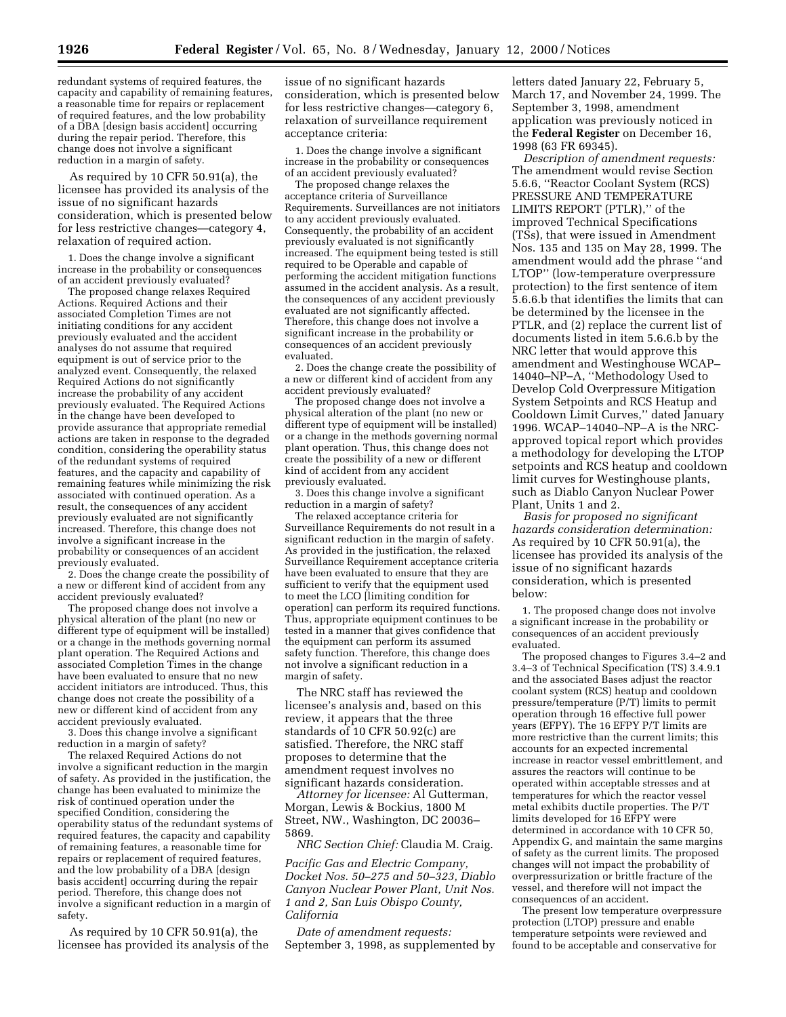redundant systems of required features, the capacity and capability of remaining features, a reasonable time for repairs or replacement of required features, and the low probability of a DBA [design basis accident] occurring during the repair period. Therefore, this change does not involve a significant reduction in a margin of safety.

As required by 10 CFR 50.91(a), the licensee has provided its analysis of the issue of no significant hazards consideration, which is presented below for less restrictive changes—category 4, relaxation of required action.

1. Does the change involve a significant increase in the probability or consequences of an accident previously evaluated?

The proposed change relaxes Required Actions. Required Actions and their associated Completion Times are not initiating conditions for any accident previously evaluated and the accident analyses do not assume that required equipment is out of service prior to the analyzed event. Consequently, the relaxed Required Actions do not significantly increase the probability of any accident previously evaluated. The Required Actions in the change have been developed to provide assurance that appropriate remedial actions are taken in response to the degraded condition, considering the operability status of the redundant systems of required features, and the capacity and capability of remaining features while minimizing the risk associated with continued operation. As a result, the consequences of any accident previously evaluated are not significantly increased. Therefore, this change does not involve a significant increase in the probability or consequences of an accident previously evaluated.

2. Does the change create the possibility of a new or different kind of accident from any accident previously evaluated?

The proposed change does not involve a physical alteration of the plant (no new or different type of equipment will be installed) or a change in the methods governing normal plant operation. The Required Actions and associated Completion Times in the change have been evaluated to ensure that no new accident initiators are introduced. Thus, this change does not create the possibility of a new or different kind of accident from any accident previously evaluated.

3. Does this change involve a significant reduction in a margin of safety?

The relaxed Required Actions do not involve a significant reduction in the margin of safety. As provided in the justification, the change has been evaluated to minimize the risk of continued operation under the specified Condition, considering the operability status of the redundant systems of required features, the capacity and capability of remaining features, a reasonable time for repairs or replacement of required features, and the low probability of a DBA [design basis accident] occurring during the repair period. Therefore, this change does not involve a significant reduction in a margin of safety.

As required by 10 CFR 50.91(a), the licensee has provided its analysis of the

issue of no significant hazards consideration, which is presented below for less restrictive changes—category 6, relaxation of surveillance requirement acceptance criteria:

1. Does the change involve a significant increase in the probability or consequences of an accident previously evaluated?

The proposed change relaxes the acceptance criteria of Surveillance Requirements. Surveillances are not initiators to any accident previously evaluated. Consequently, the probability of an accident previously evaluated is not significantly increased. The equipment being tested is still required to be Operable and capable of performing the accident mitigation functions assumed in the accident analysis. As a result, the consequences of any accident previously evaluated are not significantly affected. Therefore, this change does not involve a significant increase in the probability or consequences of an accident previously evaluated.

2. Does the change create the possibility of a new or different kind of accident from any accident previously evaluated?

The proposed change does not involve a physical alteration of the plant (no new or different type of equipment will be installed) or a change in the methods governing normal plant operation. Thus, this change does not create the possibility of a new or different kind of accident from any accident previously evaluated.

3. Does this change involve a significant reduction in a margin of safety?

The relaxed acceptance criteria for Surveillance Requirements do not result in a significant reduction in the margin of safety. As provided in the justification, the relaxed Surveillance Requirement acceptance criteria have been evaluated to ensure that they are sufficient to verify that the equipment used to meet the LCO [limiting condition for operation] can perform its required functions. Thus, appropriate equipment continues to be tested in a manner that gives confidence that the equipment can perform its assumed safety function. Therefore, this change does not involve a significant reduction in a margin of safety.

The NRC staff has reviewed the licensee's analysis and, based on this review, it appears that the three standards of 10 CFR 50.92(c) are satisfied. Therefore, the NRC staff proposes to determine that the amendment request involves no significant hazards consideration.

*Attorney for licensee:* Al Gutterman, Morgan, Lewis & Bockius, 1800 M Street, NW., Washington, DC 20036– 5869.

# *NRC Section Chief:* Claudia M. Craig.

*Pacific Gas and Electric Company, Docket Nos. 50–275 and 50–323, Diablo Canyon Nuclear Power Plant, Unit Nos. 1 and 2, San Luis Obispo County, California*

*Date of amendment requests:* September 3, 1998, as supplemented by

letters dated January 22, February 5, March 17, and November 24, 1999. The September 3, 1998, amendment application was previously noticed in the **Federal Register** on December 16, 1998 (63 FR 69345).

*Description of amendment requests:* The amendment would revise Section 5.6.6, ''Reactor Coolant System (RCS) PRESSURE AND TEMPERATURE LIMITS REPORT (PTLR),'' of the improved Technical Specifications (TSs), that were issued in Amendment Nos. 135 and 135 on May 28, 1999. The amendment would add the phrase ''and LTOP'' (low-temperature overpressure protection) to the first sentence of item 5.6.6.b that identifies the limits that can be determined by the licensee in the PTLR, and (2) replace the current list of documents listed in item 5.6.6.b by the NRC letter that would approve this amendment and Westinghouse WCAP– 14040–NP–A, ''Methodology Used to Develop Cold Overpressure Mitigation System Setpoints and RCS Heatup and Cooldown Limit Curves,'' dated January 1996. WCAP–14040–NP–A is the NRCapproved topical report which provides a methodology for developing the LTOP setpoints and RCS heatup and cooldown limit curves for Westinghouse plants, such as Diablo Canyon Nuclear Power Plant, Units 1 and 2.

*Basis for proposed no significant hazards consideration determination:* As required by 10 CFR 50.91(a), the licensee has provided its analysis of the issue of no significant hazards consideration, which is presented below:

1. The proposed change does not involve a significant increase in the probability or consequences of an accident previously evaluated.

The proposed changes to Figures 3.4–2 and 3.4–3 of Technical Specification (TS) 3.4.9.1 and the associated Bases adjust the reactor coolant system (RCS) heatup and cooldown pressure/temperature (P/T) limits to permit operation through 16 effective full power years (EFPY). The 16 EFPY P/T limits are more restrictive than the current limits; this accounts for an expected incremental increase in reactor vessel embrittlement, and assures the reactors will continue to be operated within acceptable stresses and at temperatures for which the reactor vessel metal exhibits ductile properties. The P/T limits developed for 16 EFPY were determined in accordance with 10 CFR 50, Appendix G, and maintain the same margins of safety as the current limits. The proposed changes will not impact the probability of overpressurization or brittle fracture of the vessel, and therefore will not impact the consequences of an accident.

The present low temperature overpressure protection (LTOP) pressure and enable temperature setpoints were reviewed and found to be acceptable and conservative for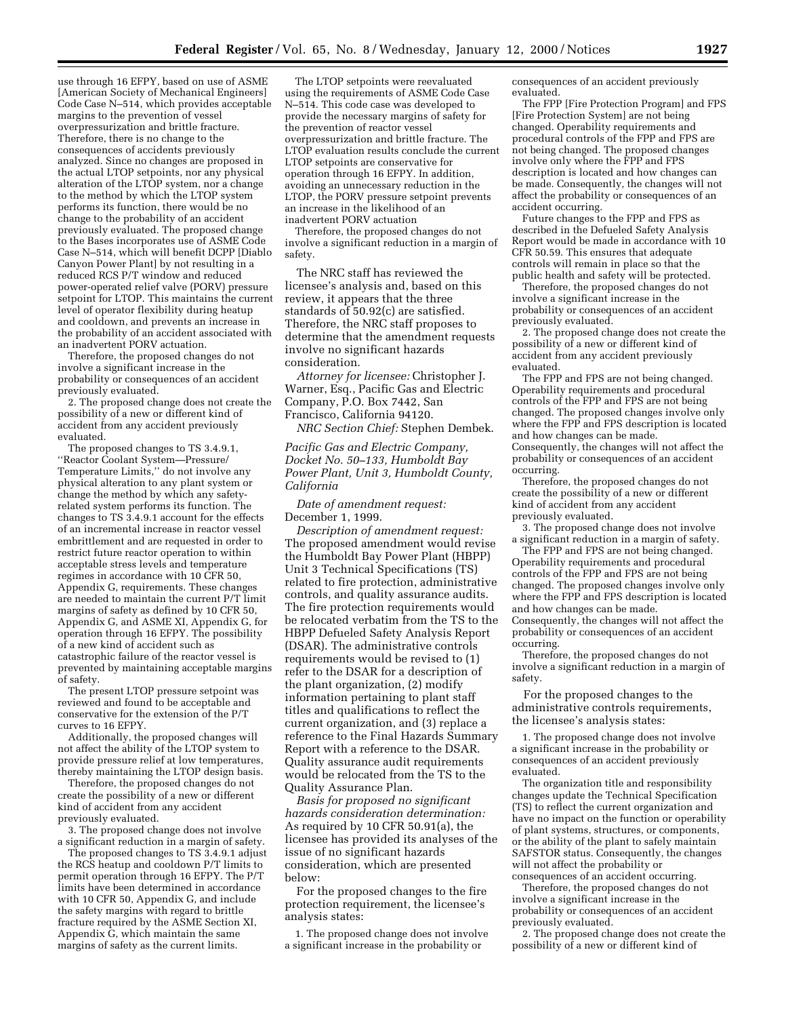use through 16 EFPY, based on use of ASME [American Society of Mechanical Engineers] Code Case N–514, which provides acceptable margins to the prevention of vessel overpressurization and brittle fracture. Therefore, there is no change to the consequences of accidents previously analyzed. Since no changes are proposed in the actual LTOP setpoints, nor any physical alteration of the LTOP system, nor a change to the method by which the LTOP system performs its function, there would be no change to the probability of an accident previously evaluated. The proposed change to the Bases incorporates use of ASME Code Case N–514, which will benefit DCPP [Diablo Canyon Power Plant] by not resulting in a reduced RCS P/T window and reduced power-operated relief valve (PORV) pressure setpoint for LTOP. This maintains the current level of operator flexibility during heatup and cooldown, and prevents an increase in the probability of an accident associated with an inadvertent PORV actuation.

Therefore, the proposed changes do not involve a significant increase in the probability or consequences of an accident previously evaluated.

2. The proposed change does not create the possibility of a new or different kind of accident from any accident previously evaluated.

The proposed changes to TS 3.4.9.1, ''Reactor Coolant System—Pressure/ Temperature Limits,'' do not involve any physical alteration to any plant system or change the method by which any safetyrelated system performs its function. The changes to TS 3.4.9.1 account for the effects of an incremental increase in reactor vessel embrittlement and are requested in order to restrict future reactor operation to within acceptable stress levels and temperature regimes in accordance with 10 CFR 50, Appendix G, requirements. These changes are needed to maintain the current P/T limit margins of safety as defined by 10 CFR 50, Appendix G, and ASME XI, Appendix G, for operation through 16 EFPY. The possibility of a new kind of accident such as catastrophic failure of the reactor vessel is prevented by maintaining acceptable margins of safety.

The present LTOP pressure setpoint was reviewed and found to be acceptable and conservative for the extension of the P/T curves to 16 EFPY.

Additionally, the proposed changes will not affect the ability of the LTOP system to provide pressure relief at low temperatures, thereby maintaining the LTOP design basis.

Therefore, the proposed changes do not create the possibility of a new or different kind of accident from any accident previously evaluated.

3. The proposed change does not involve a significant reduction in a margin of safety.

The proposed changes to TS 3.4.9.1 adjust the RCS heatup and cooldown P/T limits to permit operation through 16 EFPY. The P/T limits have been determined in accordance with 10 CFR 50, Appendix G, and include the safety margins with regard to brittle fracture required by the ASME Section XI, Appendix G, which maintain the same margins of safety as the current limits.

The LTOP setpoints were reevaluated using the requirements of ASME Code Case N–514. This code case was developed to provide the necessary margins of safety for the prevention of reactor vessel overpressurization and brittle fracture. The LTOP evaluation results conclude the current LTOP setpoints are conservative for operation through 16 EFPY. In addition, avoiding an unnecessary reduction in the LTOP, the PORV pressure setpoint prevents an increase in the likelihood of an inadvertent PORV actuation

Therefore, the proposed changes do not involve a significant reduction in a margin of safety.

The NRC staff has reviewed the licensee's analysis and, based on this review, it appears that the three standards of 50.92(c) are satisfied. Therefore, the NRC staff proposes to determine that the amendment requests involve no significant hazards consideration.

*Attorney for licensee:* Christopher J. Warner, Esq., Pacific Gas and Electric Company, P.O. Box 7442, San Francisco, California 94120.

*NRC Section Chief:* Stephen Dembek.

*Pacific Gas and Electric Company, Docket No. 50–133, Humboldt Bay Power Plant, Unit 3, Humboldt County, California*

*Date of amendment request:* December 1, 1999.

*Description of amendment request:* The proposed amendment would revise the Humboldt Bay Power Plant (HBPP) Unit 3 Technical Specifications (TS) related to fire protection, administrative controls, and quality assurance audits. The fire protection requirements would be relocated verbatim from the TS to the HBPP Defueled Safety Analysis Report (DSAR). The administrative controls requirements would be revised to (1) refer to the DSAR for a description of the plant organization, (2) modify information pertaining to plant staff titles and qualifications to reflect the current organization, and (3) replace a reference to the Final Hazards Summary Report with a reference to the DSAR. Quality assurance audit requirements would be relocated from the TS to the Quality Assurance Plan.

*Basis for proposed no significant hazards consideration determination:* As required by 10 CFR 50.91(a), the licensee has provided its analyses of the issue of no significant hazards consideration, which are presented below:

For the proposed changes to the fire protection requirement, the licensee's analysis states:

1. The proposed change does not involve a significant increase in the probability or

consequences of an accident previously evaluated.

The FPP [Fire Protection Program] and FPS [Fire Protection System] are not being changed. Operability requirements and procedural controls of the FPP and FPS are not being changed. The proposed changes involve only where the FPP and FPS description is located and how changes can be made. Consequently, the changes will not affect the probability or consequences of an accident occurring.

Future changes to the FPP and FPS as described in the Defueled Safety Analysis Report would be made in accordance with 10 CFR 50.59. This ensures that adequate controls will remain in place so that the public health and safety will be protected.

Therefore, the proposed changes do not involve a significant increase in the probability or consequences of an accident previously evaluated.

2. The proposed change does not create the possibility of a new or different kind of accident from any accident previously evaluated.

The FPP and FPS are not being changed. Operability requirements and procedural controls of the FPP and FPS are not being changed. The proposed changes involve only where the FPP and FPS description is located and how changes can be made. Consequently, the changes will not affect the probability or consequences of an accident occurring.

Therefore, the proposed changes do not create the possibility of a new or different kind of accident from any accident previously evaluated.

3. The proposed change does not involve a significant reduction in a margin of safety.

The FPP and FPS are not being changed. Operability requirements and procedural controls of the FPP and FPS are not being changed. The proposed changes involve only where the FPP and FPS description is located and how changes can be made. Consequently, the changes will not affect the probability or consequences of an accident occurring.

Therefore, the proposed changes do not involve a significant reduction in a margin of safety.

For the proposed changes to the administrative controls requirements, the licensee's analysis states:

1. The proposed change does not involve a significant increase in the probability or consequences of an accident previously evaluated.

The organization title and responsibility changes update the Technical Specification (TS) to reflect the current organization and have no impact on the function or operability of plant systems, structures, or components, or the ability of the plant to safely maintain SAFSTOR status. Consequently, the changes will not affect the probability or consequences of an accident occurring.

Therefore, the proposed changes do not involve a significant increase in the probability or consequences of an accident previously evaluated.

2. The proposed change does not create the possibility of a new or different kind of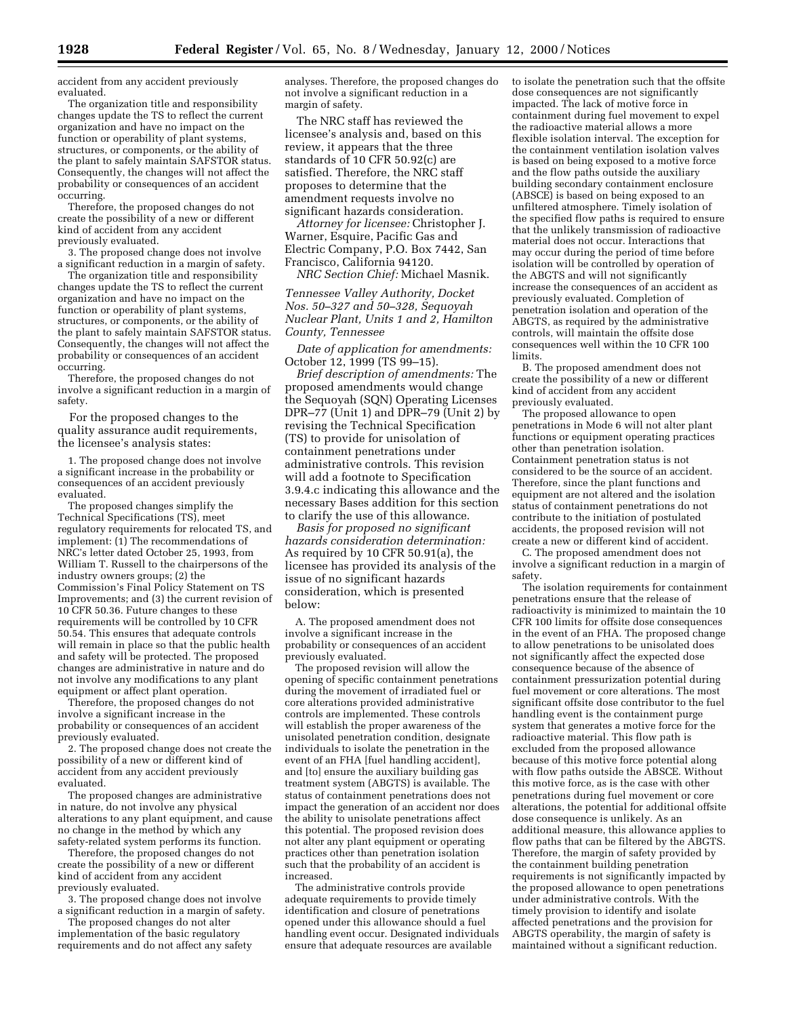accident from any accident previously evaluated.

The organization title and responsibility changes update the TS to reflect the current organization and have no impact on the function or operability of plant systems, structures, or components, or the ability of the plant to safely maintain SAFSTOR status. Consequently, the changes will not affect the probability or consequences of an accident occurring.

Therefore, the proposed changes do not create the possibility of a new or different kind of accident from any accident previously evaluated.

3. The proposed change does not involve a significant reduction in a margin of safety.

The organization title and responsibility changes update the TS to reflect the current organization and have no impact on the function or operability of plant systems, structures, or components, or the ability of the plant to safely maintain SAFSTOR status. Consequently, the changes will not affect the probability or consequences of an accident occurring.

Therefore, the proposed changes do not involve a significant reduction in a margin of safety.

For the proposed changes to the quality assurance audit requirements, the licensee's analysis states:

1. The proposed change does not involve a significant increase in the probability or consequences of an accident previously evaluated.

The proposed changes simplify the Technical Specifications (TS), meet regulatory requirements for relocated TS, and implement: (1) The recommendations of NRC's letter dated October 25, 1993, from William T. Russell to the chairpersons of the industry owners groups; (2) the Commission's Final Policy Statement on TS Improvements; and (3) the current revision of 10 CFR 50.36. Future changes to these requirements will be controlled by 10 CFR 50.54. This ensures that adequate controls will remain in place so that the public health and safety will be protected. The proposed changes are administrative in nature and do not involve any modifications to any plant equipment or affect plant operation.

Therefore, the proposed changes do not involve a significant increase in the probability or consequences of an accident previously evaluated.

2. The proposed change does not create the possibility of a new or different kind of accident from any accident previously evaluated.

The proposed changes are administrative in nature, do not involve any physical alterations to any plant equipment, and cause no change in the method by which any safety-related system performs its function.

Therefore, the proposed changes do not create the possibility of a new or different kind of accident from any accident previously evaluated.

3. The proposed change does not involve a significant reduction in a margin of safety.

The proposed changes do not alter implementation of the basic regulatory requirements and do not affect any safety

analyses. Therefore, the proposed changes do not involve a significant reduction in a margin of safety.

The NRC staff has reviewed the licensee's analysis and, based on this review, it appears that the three standards of 10 CFR 50.92(c) are satisfied. Therefore, the NRC staff proposes to determine that the amendment requests involve no significant hazards consideration.

*Attorney for licensee:* Christopher J. Warner, Esquire, Pacific Gas and Electric Company, P.O. Box 7442, San Francisco, California 94120. *NRC Section Chief:* Michael Masnik.

*Tennessee Valley Authority, Docket Nos. 50–327 and 50–328, Sequoyah Nuclear Plant, Units 1 and 2, Hamilton County, Tennessee*

*Date of application for amendments:* October 12, 1999 (TS 99–15).

*Brief description of amendments:* The proposed amendments would change the Sequoyah (SQN) Operating Licenses DPR–77 (Unit 1) and DPR–79 (Unit 2) by revising the Technical Specification (TS) to provide for unisolation of containment penetrations under administrative controls. This revision will add a footnote to Specification 3.9.4.c indicating this allowance and the necessary Bases addition for this section to clarify the use of this allowance.

*Basis for proposed no significant hazards consideration determination:* As required by 10 CFR 50.91(a), the licensee has provided its analysis of the issue of no significant hazards consideration, which is presented below:

A. The proposed amendment does not involve a significant increase in the probability or consequences of an accident previously evaluated.

The proposed revision will allow the opening of specific containment penetrations during the movement of irradiated fuel or core alterations provided administrative controls are implemented. These controls will establish the proper awareness of the unisolated penetration condition, designate individuals to isolate the penetration in the event of an FHA [fuel handling accident], and [to] ensure the auxiliary building gas treatment system (ABGTS) is available. The status of containment penetrations does not impact the generation of an accident nor does the ability to unisolate penetrations affect this potential. The proposed revision does not alter any plant equipment or operating practices other than penetration isolation such that the probability of an accident is increased.

The administrative controls provide adequate requirements to provide timely identification and closure of penetrations opened under this allowance should a fuel handling event occur. Designated individuals ensure that adequate resources are available

to isolate the penetration such that the offsite dose consequences are not significantly impacted. The lack of motive force in containment during fuel movement to expel the radioactive material allows a more flexible isolation interval. The exception for the containment ventilation isolation valves is based on being exposed to a motive force and the flow paths outside the auxiliary building secondary containment enclosure (ABSCE) is based on being exposed to an unfiltered atmosphere. Timely isolation of the specified flow paths is required to ensure that the unlikely transmission of radioactive material does not occur. Interactions that may occur during the period of time before isolation will be controlled by operation of the ABGTS and will not significantly increase the consequences of an accident as previously evaluated. Completion of penetration isolation and operation of the ABGTS, as required by the administrative controls, will maintain the offsite dose consequences well within the 10 CFR 100 limits.

B. The proposed amendment does not create the possibility of a new or different kind of accident from any accident previously evaluated.

The proposed allowance to open penetrations in Mode 6 will not alter plant functions or equipment operating practices other than penetration isolation. Containment penetration status is not considered to be the source of an accident. Therefore, since the plant functions and equipment are not altered and the isolation status of containment penetrations do not contribute to the initiation of postulated accidents, the proposed revision will not create a new or different kind of accident.

C. The proposed amendment does not involve a significant reduction in a margin of safety.

The isolation requirements for containment penetrations ensure that the release of radioactivity is minimized to maintain the 10 CFR 100 limits for offsite dose consequences in the event of an FHA. The proposed change to allow penetrations to be unisolated does not significantly affect the expected dose consequence because of the absence of containment pressurization potential during fuel movement or core alterations. The most significant offsite dose contributor to the fuel handling event is the containment purge system that generates a motive force for the radioactive material. This flow path is excluded from the proposed allowance because of this motive force potential along with flow paths outside the ABSCE. Without this motive force, as is the case with other penetrations during fuel movement or core alterations, the potential for additional offsite dose consequence is unlikely. As an additional measure, this allowance applies to flow paths that can be filtered by the ABGTS. Therefore, the margin of safety provided by the containment building penetration requirements is not significantly impacted by the proposed allowance to open penetrations under administrative controls. With the timely provision to identify and isolate affected penetrations and the provision for ABGTS operability, the margin of safety is maintained without a significant reduction.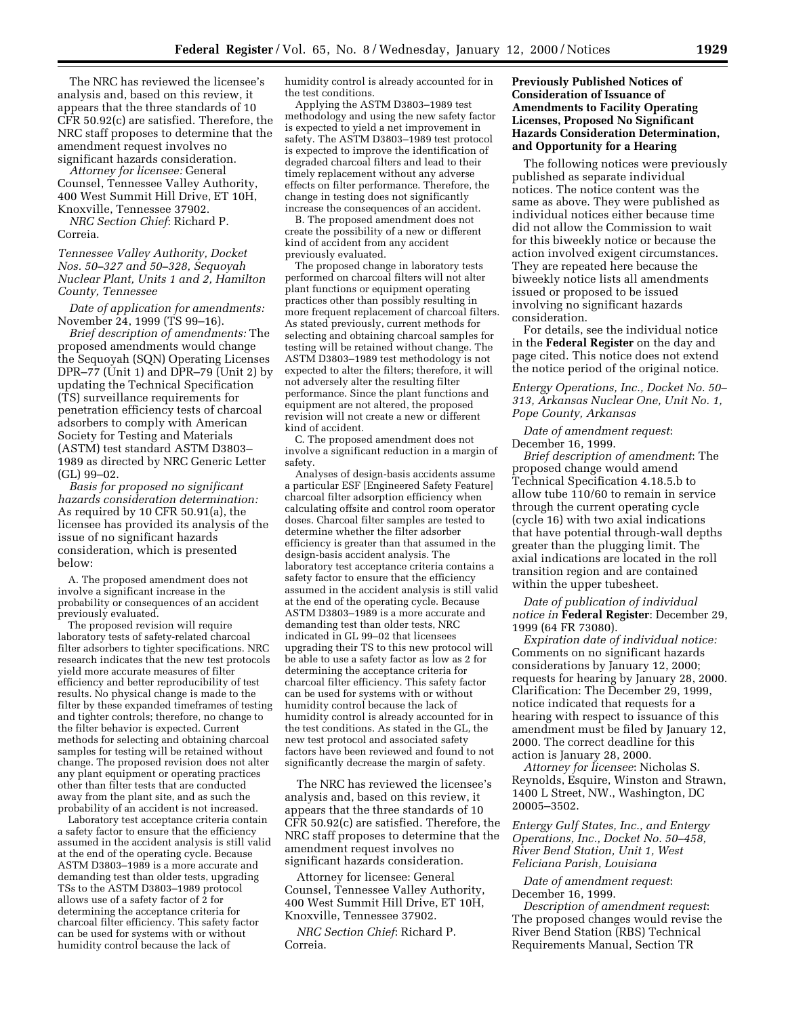The NRC has reviewed the licensee's analysis and, based on this review, it appears that the three standards of 10 CFR 50.92(c) are satisfied. Therefore, the NRC staff proposes to determine that the amendment request involves no significant hazards consideration.

*Attorney for licensee:* General Counsel, Tennessee Valley Authority, 400 West Summit Hill Drive, ET 10H, Knoxville, Tennessee 37902.

*NRC Section Chief*: Richard P. Correia.

### *Tennessee Valley Authority, Docket Nos. 50–327 and 50–328, Sequoyah Nuclear Plant, Units 1 and 2, Hamilton County, Tennessee*

*Date of application for amendments:* November 24, 1999 (TS 99–16).

*Brief description of amendments:* The proposed amendments would change the Sequoyah (SQN) Operating Licenses DPR–77 (Unit 1) and DPR–79 (Unit 2) by updating the Technical Specification (TS) surveillance requirements for penetration efficiency tests of charcoal adsorbers to comply with American Society for Testing and Materials (ASTM) test standard ASTM D3803– 1989 as directed by NRC Generic Letter (GL) 99–02.

*Basis for proposed no significant hazards consideration determination:* As required by 10 CFR 50.91(a), the licensee has provided its analysis of the issue of no significant hazards consideration, which is presented below:

A. The proposed amendment does not involve a significant increase in the probability or consequences of an accident previously evaluated.

The proposed revision will require laboratory tests of safety-related charcoal filter adsorbers to tighter specifications. NRC research indicates that the new test protocols yield more accurate measures of filter efficiency and better reproducibility of test results. No physical change is made to the filter by these expanded timeframes of testing and tighter controls; therefore, no change to the filter behavior is expected. Current methods for selecting and obtaining charcoal samples for testing will be retained without change. The proposed revision does not alter any plant equipment or operating practices other than filter tests that are conducted away from the plant site, and as such the probability of an accident is not increased.

Laboratory test acceptance criteria contain a safety factor to ensure that the efficiency assumed in the accident analysis is still valid at the end of the operating cycle. Because ASTM D3803–1989 is a more accurate and demanding test than older tests, upgrading TSs to the ASTM D3803–1989 protocol allows use of a safety factor of 2 for determining the acceptance criteria for charcoal filter efficiency. This safety factor can be used for systems with or without humidity control because the lack of

humidity control is already accounted for in the test conditions.

Applying the ASTM D3803–1989 test methodology and using the new safety factor is expected to yield a net improvement in safety. The ASTM D3803–1989 test protocol is expected to improve the identification of degraded charcoal filters and lead to their timely replacement without any adverse effects on filter performance. Therefore, the change in testing does not significantly increase the consequences of an accident.

B. The proposed amendment does not create the possibility of a new or different kind of accident from any accident previously evaluated.

The proposed change in laboratory tests performed on charcoal filters will not alter plant functions or equipment operating practices other than possibly resulting in more frequent replacement of charcoal filters. As stated previously, current methods for selecting and obtaining charcoal samples for testing will be retained without change. The ASTM D3803–1989 test methodology is not expected to alter the filters; therefore, it will not adversely alter the resulting filter performance. Since the plant functions and equipment are not altered, the proposed revision will not create a new or different kind of accident.

C. The proposed amendment does not involve a significant reduction in a margin of safety.

Analyses of design-basis accidents assume a particular ESF [Engineered Safety Feature] charcoal filter adsorption efficiency when calculating offsite and control room operator doses. Charcoal filter samples are tested to determine whether the filter adsorber efficiency is greater than that assumed in the design-basis accident analysis. The laboratory test acceptance criteria contains a safety factor to ensure that the efficiency assumed in the accident analysis is still valid at the end of the operating cycle. Because ASTM D3803–1989 is a more accurate and demanding test than older tests, NRC indicated in GL 99–02 that licensees upgrading their TS to this new protocol will be able to use a safety factor as low as 2 for determining the acceptance criteria for charcoal filter efficiency. This safety factor can be used for systems with or without humidity control because the lack of humidity control is already accounted for in the test conditions. As stated in the GL, the new test protocol and associated safety factors have been reviewed and found to not significantly decrease the margin of safety.

The NRC has reviewed the licensee's analysis and, based on this review, it appears that the three standards of 10 CFR 50.92(c) are satisfied. Therefore, the NRC staff proposes to determine that the amendment request involves no significant hazards consideration.

Attorney for licensee: General Counsel, Tennessee Valley Authority, 400 West Summit Hill Drive, ET 10H, Knoxville, Tennessee 37902.

*NRC Section Chief*: Richard P. Correia.

### **Previously Published Notices of Consideration of Issuance of Amendments to Facility Operating Licenses, Proposed No Significant Hazards Consideration Determination, and Opportunity for a Hearing**

The following notices were previously published as separate individual notices. The notice content was the same as above. They were published as individual notices either because time did not allow the Commission to wait for this biweekly notice or because the action involved exigent circumstances. They are repeated here because the biweekly notice lists all amendments issued or proposed to be issued involving no significant hazards consideration.

For details, see the individual notice in the **Federal Register** on the day and page cited. This notice does not extend the notice period of the original notice.

*Entergy Operations, Inc., Docket No. 50– 313, Arkansas Nuclear One, Unit No. 1, Pope County, Arkansas*

*Date of amendment request*: December 16, 1999.

*Brief description of amendment*: The proposed change would amend Technical Specification 4.18.5.b to allow tube 110/60 to remain in service through the current operating cycle (cycle 16) with two axial indications that have potential through-wall depths greater than the plugging limit. The axial indications are located in the roll transition region and are contained within the upper tubesheet.

*Date of publication of individual notice in* **Federal Register**: December 29, 1999 (64 FR 73080).

*Expiration date of individual notice:* Comments on no significant hazards considerations by January 12, 2000; requests for hearing by January 28, 2000. Clarification: The December 29, 1999, notice indicated that requests for a hearing with respect to issuance of this amendment must be filed by January 12, 2000. The correct deadline for this action is January 28, 2000.

*Attorney for licensee*: Nicholas S. Reynolds, Esquire, Winston and Strawn, 1400 L Street, NW., Washington, DC 20005–3502.

*Entergy Gulf States, Inc., and Entergy Operations, Inc., Docket No. 50–458, River Bend Station, Unit 1, West Feliciana Parish, Louisiana*

*Date of amendment request*: December 16, 1999.

*Description of amendment request*: The proposed changes would revise the River Bend Station (RBS) Technical Requirements Manual, Section TR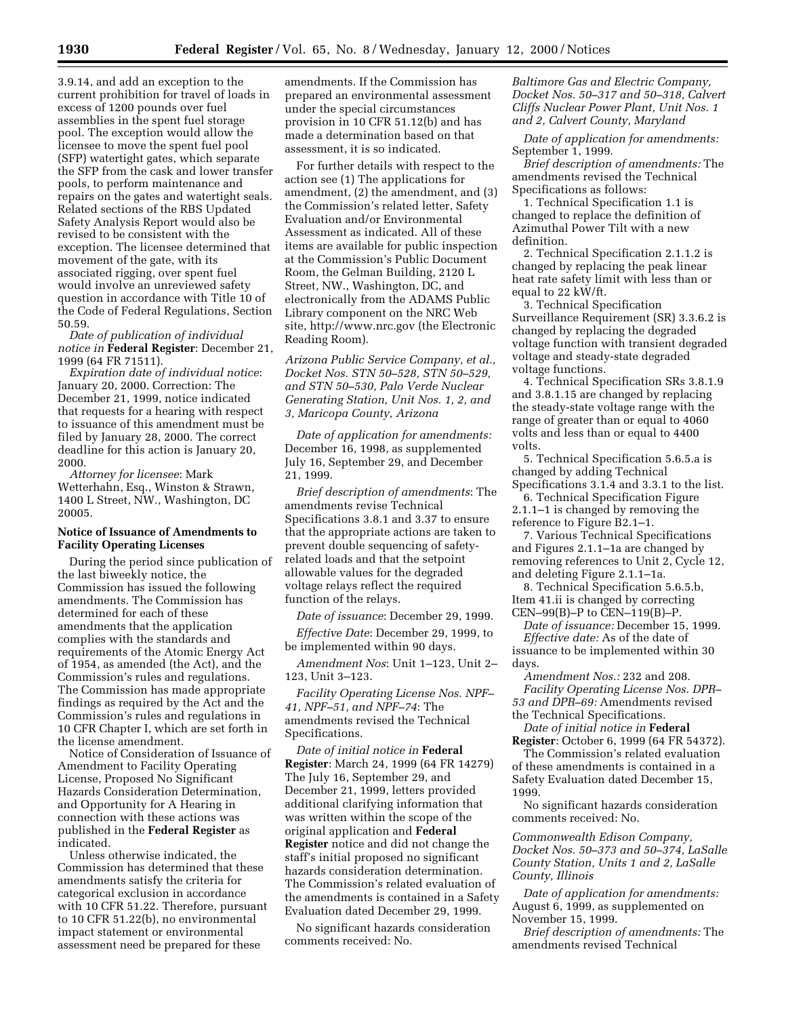3.9.14, and add an exception to the current prohibition for travel of loads in excess of 1200 pounds over fuel assemblies in the spent fuel storage pool. The exception would allow the licensee to move the spent fuel pool (SFP) watertight gates, which separate the SFP from the cask and lower transfer pools, to perform maintenance and repairs on the gates and watertight seals. Related sections of the RBS Updated Safety Analysis Report would also be revised to be consistent with the exception. The licensee determined that movement of the gate, with its associated rigging, over spent fuel would involve an unreviewed safety question in accordance with Title 10 of the Code of Federal Regulations, Section 50.59.

*Date of publication of individual notice in* **Federal Register**: December 21, 1999 (64 FR 71511).

*Expiration date of individual notice*: January 20, 2000. Correction: The December 21, 1999, notice indicated that requests for a hearing with respect to issuance of this amendment must be filed by January 28, 2000. The correct deadline for this action is January 20, 2000.

*Attorney for licensee*: Mark Wetterhahn, Esq., Winston & Strawn, 1400 L Street, NW., Washington, DC 20005.

### **Notice of Issuance of Amendments to Facility Operating Licenses**

During the period since publication of the last biweekly notice, the Commission has issued the following amendments. The Commission has determined for each of these amendments that the application complies with the standards and requirements of the Atomic Energy Act of 1954, as amended (the Act), and the Commission's rules and regulations. The Commission has made appropriate findings as required by the Act and the Commission's rules and regulations in 10 CFR Chapter I, which are set forth in the license amendment.

Notice of Consideration of Issuance of Amendment to Facility Operating License, Proposed No Significant Hazards Consideration Determination, and Opportunity for A Hearing in connection with these actions was published in the **Federal Register** as indicated.

Unless otherwise indicated, the Commission has determined that these amendments satisfy the criteria for categorical exclusion in accordance with 10 CFR 51.22. Therefore, pursuant to 10 CFR 51.22(b), no environmental impact statement or environmental assessment need be prepared for these

amendments. If the Commission has prepared an environmental assessment under the special circumstances provision in 10 CFR 51.12(b) and has made a determination based on that assessment, it is so indicated.

For further details with respect to the action see (1) The applications for amendment, (2) the amendment, and (3) the Commission's related letter, Safety Evaluation and/or Environmental Assessment as indicated. All of these items are available for public inspection at the Commission's Public Document Room, the Gelman Building, 2120 L Street, NW., Washington, DC, and electronically from the ADAMS Public Library component on the NRC Web site, http://www.nrc.gov (the Electronic Reading Room).

*Arizona Public Service Company, et al., Docket Nos. STN 50–528, STN 50–529, and STN 50–530, Palo Verde Nuclear Generating Station, Unit Nos. 1, 2, and 3, Maricopa County, Arizona*

*Date of application for amendments:* December 16, 1998, as supplemented July 16, September 29, and December 21, 1999.

*Brief description of amendments*: The amendments revise Technical Specifications 3.8.1 and 3.37 to ensure that the appropriate actions are taken to prevent double sequencing of safetyrelated loads and that the setpoint allowable values for the degraded voltage relays reflect the required function of the relays.

*Date of issuance*: December 29, 1999.

*Effective Date*: December 29, 1999, to be implemented within 90 days.

*Amendment Nos*: Unit 1–123, Unit 2– 123, Unit 3–123.

*Facility Operating License Nos. NPF– 41, NPF–51, and NPF–74*: The amendments revised the Technical Specifications.

*Date of initial notice in* **Federal Register**: March 24, 1999 (64 FR 14279) The July 16, September 29, and December 21, 1999, letters provided additional clarifying information that was written within the scope of the original application and **Federal Register** notice and did not change the staff's initial proposed no significant hazards consideration determination. The Commission's related evaluation of the amendments is contained in a Safety Evaluation dated December 29, 1999.

No significant hazards consideration comments received: No.

*Baltimore Gas and Electric Company, Docket Nos. 50–317 and 50–318, Calvert Cliffs Nuclear Power Plant, Unit Nos. 1 and 2, Calvert County, Maryland*

*Date of application for amendments:* September 1, 1999.

*Brief description of amendments:* The amendments revised the Technical Specifications as follows:

1. Technical Specification 1.1 is changed to replace the definition of Azimuthal Power Tilt with a new definition.

2. Technical Specification 2.1.1.2 is changed by replacing the peak linear heat rate safety limit with less than or equal to 22 kW/ft.

3. Technical Specification Surveillance Requirement (SR) 3.3.6.2 is changed by replacing the degraded voltage function with transient degraded voltage and steady-state degraded voltage functions.

4. Technical Specification SRs 3.8.1.9 and 3.8.1.15 are changed by replacing the steady-state voltage range with the range of greater than or equal to 4060 volts and less than or equal to 4400 volts.

5. Technical Specification 5.6.5.a is changed by adding Technical Specifications 3.1.4 and 3.3.1 to the list.

6. Technical Specification Figure 2.1.1–1 is changed by removing the reference to Figure B2.1–1.

7. Various Technical Specifications and Figures 2.1.1–1a are changed by removing references to Unit 2, Cycle 12, and deleting Figure 2.1.1–1a.

8. Technical Specification 5.6.5.b, Item 41.ii is changed by correcting

CEN–99(B)–P to CEN–119(B)–P. *Date of issuance:* December 15, 1999.

*Effective date:* As of the date of issuance to be implemented within 30 days.

*Amendment Nos.:* 232 and 208. *Facility Operating License Nos. DPR– 53 and DPR–69:* Amendments revised the Technical Specifications.

*Date of initial notice in* **Federal Register**: October 6, 1999 (64 FR 54372).

The Commission's related evaluation of these amendments is contained in a Safety Evaluation dated December 15, 1999.

No significant hazards consideration comments received: No.

*Commonwealth Edison Company, Docket Nos. 50–373 and 50–374, LaSalle County Station, Units 1 and 2, LaSalle County, Illinois*

*Date of application for amendments:* August 6, 1999, as supplemented on November 15, 1999.

*Brief description of amendments:* The amendments revised Technical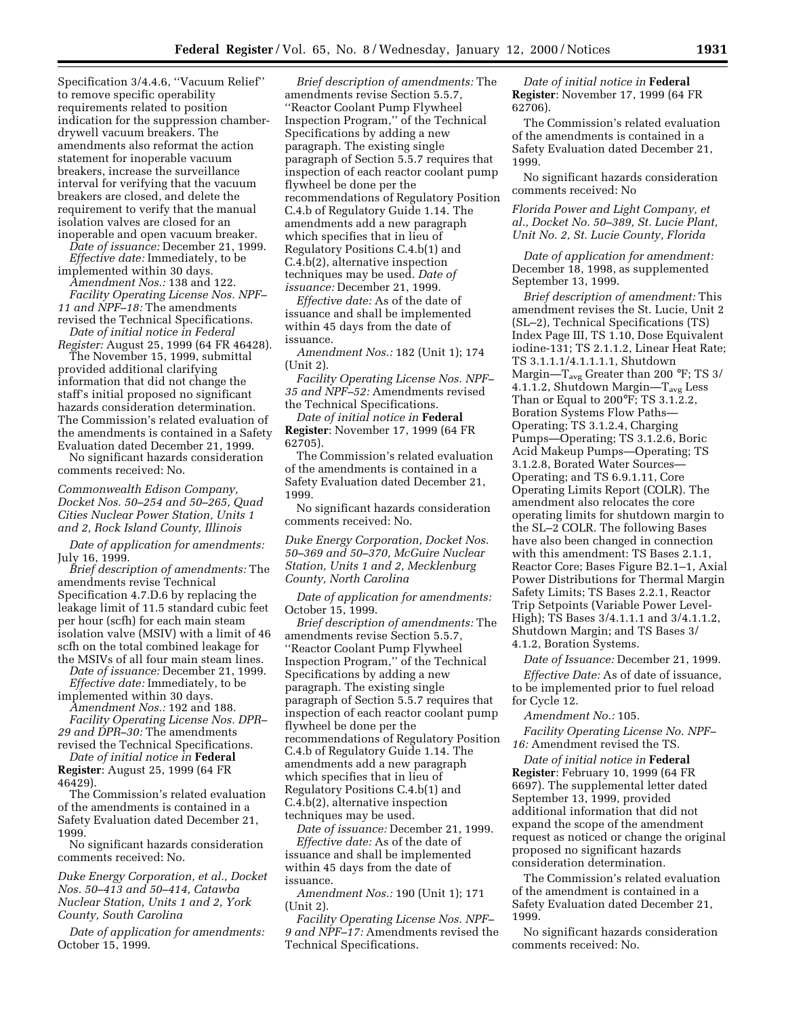Specification 3/4.4.6, ''Vacuum Relief'' to remove specific operability requirements related to position indication for the suppression chamberdrywell vacuum breakers. The amendments also reformat the action statement for inoperable vacuum breakers, increase the surveillance interval for verifying that the vacuum breakers are closed, and delete the requirement to verify that the manual isolation valves are closed for an inoperable and open vacuum breaker.

*Date of issuance:* December 21, 1999. *Effective date:* Immediately, to be

implemented within 30 days. *Amendment Nos.:* 138 and 122. *Facility Operating License Nos. NPF–*

*11 and NPF–18:* The amendments revised the Technical Specifications.

*Date of initial notice in Federal Register:* August 25, 1999 (64 FR 46428).

The November 15, 1999, submittal provided additional clarifying information that did not change the staff's initial proposed no significant hazards consideration determination. The Commission's related evaluation of the amendments is contained in a Safety Evaluation dated December 21, 1999.

No significant hazards consideration comments received: No.

*Commonwealth Edison Company, Docket Nos. 50–254 and 50–265, Quad Cities Nuclear Power Station, Units 1 and 2, Rock Island County, Illinois*

*Date of application for amendments:* July 16, 1999.

*Brief description of amendments:* The amendments revise Technical Specification 4.7.D.6 by replacing the leakage limit of 11.5 standard cubic feet per hour (scfh) for each main steam isolation valve (MSIV) with a limit of 46 scfh on the total combined leakage for the MSIVs of all four main steam lines.

*Date of issuance:* December 21, 1999. *Effective date:* Immediately, to be

implemented within 30 days. *Amendment Nos.:* 192 and 188.

*Facility Operating License Nos. DPR– 29 and DPR–30:* The amendments revised the Technical Specifications.

*Date of initial notice in* **Federal Register**: August 25, 1999 (64 FR 46429).

The Commission's related evaluation of the amendments is contained in a Safety Evaluation dated December 21, 1999.

No significant hazards consideration comments received: No.

*Duke Energy Corporation, et al., Docket Nos. 50–413 and 50–414, Catawba Nuclear Station, Units 1 and 2, York County, South Carolina*

*Date of application for amendments:* October 15, 1999.

*Brief description of amendments:* The amendments revise Section 5.5.7, ''Reactor Coolant Pump Flywheel Inspection Program,'' of the Technical Specifications by adding a new paragraph. The existing single paragraph of Section 5.5.7 requires that inspection of each reactor coolant pump flywheel be done per the recommendations of Regulatory Position C.4.b of Regulatory Guide 1.14. The amendments add a new paragraph which specifies that in lieu of Regulatory Positions C.4.b(1) and C.4.b(2), alternative inspection techniques may be used. *Date of issuance:* December 21, 1999.

*Effective date:* As of the date of issuance and shall be implemented within 45 days from the date of issuance.

*Amendment Nos.:* 182 (Unit 1); 174 (Unit 2).

*Facility Operating License Nos. NPF– 35 and NPF–52:* Amendments revised the Technical Specifications.

*Date of initial notice in* **Federal Register**: November 17, 1999 (64 FR 62705).

The Commission's related evaluation of the amendments is contained in a Safety Evaluation dated December 21, 1999.

No significant hazards consideration comments received: No.

*Duke Energy Corporation, Docket Nos. 50–369 and 50–370, McGuire Nuclear Station, Units 1 and 2, Mecklenburg County, North Carolina*

*Date of application for amendments:* October 15, 1999.

*Brief description of amendments:* The amendments revise Section 5.5.7, ''Reactor Coolant Pump Flywheel Inspection Program,'' of the Technical Specifications by adding a new paragraph. The existing single paragraph of Section 5.5.7 requires that inspection of each reactor coolant pump flywheel be done per the recommendations of Regulatory Position C.4.b of Regulatory Guide 1.14. The amendments add a new paragraph which specifies that in lieu of Regulatory Positions C.4.b(1) and C.4.b(2), alternative inspection techniques may be used.

*Date of issuance:* December 21, 1999. *Effective date:* As of the date of issuance and shall be implemented within 45 days from the date of issuance.

*Amendment Nos.:* 190 (Unit 1); 171 (Unit 2).

*Facility Operating License Nos. NPF– 9 and NPF–17:* Amendments revised the Technical Specifications.

*Date of initial notice in* **Federal Register**: November 17, 1999 (64 FR 62706).

The Commission's related evaluation of the amendments is contained in a Safety Evaluation dated December 21, 1999.

No significant hazards consideration comments received: No

*Florida Power and Light Company, et al., Docket No. 50–389, St. Lucie Plant, Unit No. 2, St. Lucie County, Florida*

*Date of application for amendment:* December 18, 1998, as supplemented September 13, 1999.

*Brief description of amendment:* This amendment revises the St. Lucie, Unit 2 (SL–2), Technical Specifications (TS) Index Page III, TS 1.10, Dose Equivalent iodine-131; TS 2.1.1.2, Linear Heat Rate; TS 3.1.1.1/4.1.1.1.1, Shutdown Margin— $T_{\text{avg}}$  Greater than 200 °F; TS 3/ 4.1.1.2, Shutdown Margin-T<sub>avg</sub> Less Than or Equal to 200°F; TS 3.1.2.2, Boration Systems Flow Paths— Operating; TS 3.1.2.4, Charging Pumps—Operating; TS 3.1.2.6, Boric Acid Makeup Pumps—Operating; TS 3.1.2.8, Borated Water Sources— Operating; and TS 6.9.1.11, Core Operating Limits Report (COLR). The amendment also relocates the core operating limits for shutdown margin to the SL–2 COLR. The following Bases have also been changed in connection with this amendment: TS Bases 2.1.1, Reactor Core; Bases Figure B2.1–1, Axial Power Distributions for Thermal Margin Safety Limits; TS Bases 2.2.1, Reactor Trip Setpoints (Variable Power Level-High); TS Bases 3/4.1.1.1 and 3/4.1.1.2, Shutdown Margin; and TS Bases 3/ 4.1.2, Boration Systems.

*Date of Issuance:* December 21, 1999. *Effective Date:* As of date of issuance, to be implemented prior to fuel reload for Cycle 12.

*Amendment No.:* 105.

*Facility Operating License No. NPF– 16:* Amendment revised the TS.

*Date of initial notice in* **Federal Register**: February 10, 1999 (64 FR 6697). The supplemental letter dated September 13, 1999, provided additional information that did not expand the scope of the amendment request as noticed or change the original proposed no significant hazards consideration determination.

The Commission's related evaluation of the amendment is contained in a Safety Evaluation dated December 21, 1999.

No significant hazards consideration comments received: No.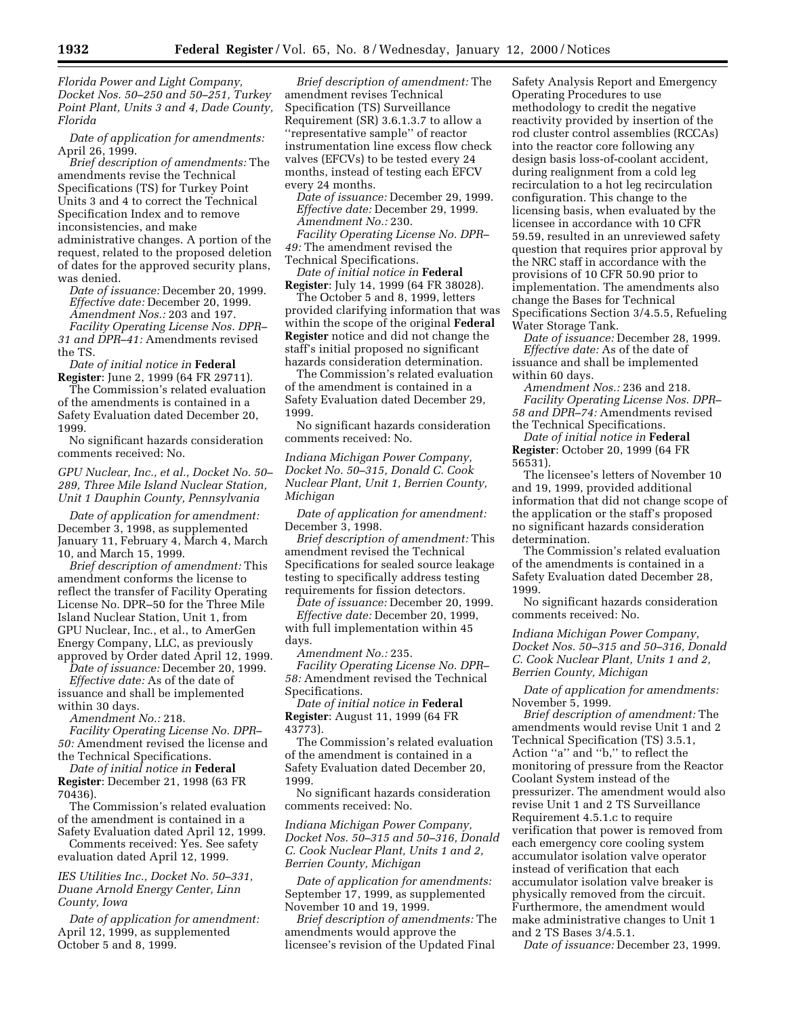*Florida Power and Light Company, Docket Nos. 50–250 and 50–251, Turkey Point Plant, Units 3 and 4, Dade County, Florida*

*Date of application for amendments:* April 26, 1999.

*Brief description of amendments:* The amendments revise the Technical Specifications (TS) for Turkey Point Units 3 and 4 to correct the Technical Specification Index and to remove inconsistencies, and make administrative changes. A portion of the request, related to the proposed deletion of dates for the approved security plans, was denied.

*Date of issuance:* December 20, 1999. *Effective date:* December 20, 1999. *Amendment Nos.:* 203 and 197.

*Facility Operating License Nos. DPR– 31 and DPR–41:* Amendments revised the TS.

*Date of initial notice in* **Federal Register**: June 2, 1999 (64 FR 29711).

The Commission's related evaluation of the amendments is contained in a Safety Evaluation dated December 20, 1999.

No significant hazards consideration comments received: No.

*GPU Nuclear, Inc., et al., Docket No. 50– 289, Three Mile Island Nuclear Station, Unit 1 Dauphin County, Pennsylvania*

*Date of application for amendment:* December 3, 1998, as supplemented January 11, February 4, March 4, March 10, and March 15, 1999.

*Brief description of amendment:* This amendment conforms the license to reflect the transfer of Facility Operating License No. DPR–50 for the Three Mile Island Nuclear Station, Unit 1, from GPU Nuclear, Inc., et al., to AmerGen Energy Company, LLC, as previously approved by Order dated April 12, 1999.

*Date of issuance:* December 20, 1999. *Effective date:* As of the date of issuance and shall be implemented

within 30 days. *Amendment No.:* 218.

*Facility Operating License No. DPR– 50:* Amendment revised the license and

the Technical Specifications. *Date of initial notice in* **Federal Register**: December 21, 1998 (63 FR 70436).

The Commission's related evaluation of the amendment is contained in a Safety Evaluation dated April 12, 1999.

Comments received: Yes. See safety evaluation dated April 12, 1999.

*IES Utilities Inc., Docket No. 50–331, Duane Arnold Energy Center, Linn County, Iowa*

*Date of application for amendment:* April 12, 1999, as supplemented October 5 and 8, 1999.

*Brief description of amendment:* The amendment revises Technical Specification (TS) Surveillance Requirement (SR) 3.6.1.3.7 to allow a ''representative sample'' of reactor instrumentation line excess flow check valves (EFCVs) to be tested every 24 months, instead of testing each EFCV every 24 months.

*Date of issuance:* December 29, 1999. *Effective date:* December 29, 1999. *Amendment No.:* 230.

*Facility Operating License No. DPR– 49:* The amendment revised the Technical Specifications.

*Date of initial notice in* **Federal Register**: July 14, 1999 (64 FR 38028).

The October 5 and 8, 1999, letters provided clarifying information that was within the scope of the original **Federal Register** notice and did not change the staff's initial proposed no significant hazards consideration determination.

The Commission's related evaluation of the amendment is contained in a Safety Evaluation dated December 29, 1999.

No significant hazards consideration comments received: No.

*Indiana Michigan Power Company, Docket No. 50–315, Donald C. Cook Nuclear Plant, Unit 1, Berrien County, Michigan*

*Date of application for amendment:* December 3, 1998.

*Brief description of amendment:* This amendment revised the Technical Specifications for sealed source leakage testing to specifically address testing requirements for fission detectors.

*Date of issuance:* December 20, 1999. *Effective date:* December 20, 1999, with full implementation within 45 days.

*Amendment No.:* 235.

*Facility Operating License No. DPR– 58:* Amendment revised the Technical Specifications.

*Date of initial notice in* **Federal Register**: August 11, 1999 (64 FR 43773).

The Commission's related evaluation of the amendment is contained in a Safety Evaluation dated December 20, 1999.

No significant hazards consideration comments received: No.

*Indiana Michigan Power Company, Docket Nos. 50–315 and 50–316, Donald C. Cook Nuclear Plant, Units 1 and 2, Berrien County, Michigan*

*Date of application for amendments:* September 17, 1999, as supplemented November 10 and 19, 1999.

*Brief description of amendments:* The amendments would approve the licensee's revision of the Updated Final

Safety Analysis Report and Emergency Operating Procedures to use methodology to credit the negative reactivity provided by insertion of the rod cluster control assemblies (RCCAs) into the reactor core following any design basis loss-of-coolant accident, during realignment from a cold leg recirculation to a hot leg recirculation configuration. This change to the licensing basis, when evaluated by the licensee in accordance with 10 CFR 59.59, resulted in an unreviewed safety question that requires prior approval by the NRC staff in accordance with the provisions of 10 CFR 50.90 prior to implementation. The amendments also change the Bases for Technical Specifications Section 3/4.5.5, Refueling Water Storage Tank.

*Date of issuance:* December 28, 1999. *Effective date:* As of the date of issuance and shall be implemented

within 60 days.

*Amendment Nos.:* 236 and 218. *Facility Operating License Nos. DPR– 58 and DPR–74:* Amendments revised the Technical Specifications.

*Date of initial notice in* **Federal Register**: October 20, 1999 (64 FR 56531).

The licensee's letters of November 10 and 19, 1999, provided additional information that did not change scope of the application or the staff's proposed no significant hazards consideration determination.

The Commission's related evaluation of the amendments is contained in a Safety Evaluation dated December 28, 1999.

No significant hazards consideration comments received: No.

*Indiana Michigan Power Company, Docket Nos. 50–315 and 50–316, Donald C. Cook Nuclear Plant, Units 1 and 2, Berrien County, Michigan*

*Date of application for amendments:* November 5, 1999.

*Brief description of amendment:* The amendments would revise Unit 1 and 2 Technical Specification (TS) 3.5.1, Action ''a'' and ''b,'' to reflect the monitoring of pressure from the Reactor Coolant System instead of the pressurizer. The amendment would also revise Unit 1 and 2 TS Surveillance Requirement 4.5.1.c to require verification that power is removed from each emergency core cooling system accumulator isolation valve operator instead of verification that each accumulator isolation valve breaker is physically removed from the circuit. Furthermore, the amendment would make administrative changes to Unit 1 and 2 TS Bases 3/4.5.1.

*Date of issuance:* December 23, 1999.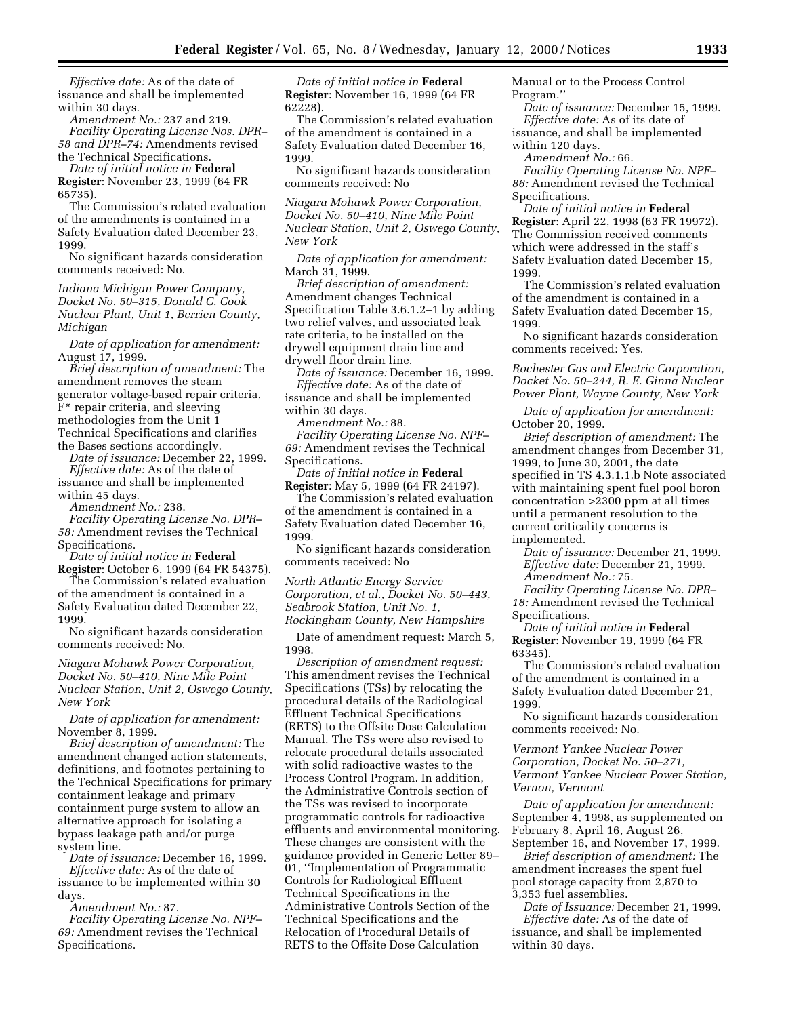*Effective date:* As of the date of issuance and shall be implemented within 30 days.

*Amendment No.:* 237 and 219. *Facility Operating License Nos. DPR– 58 and DPR–74:* Amendments revised the Technical Specifications.

*Date of initial notice in* **Federal Register**: November 23, 1999 (64 FR 65735).

The Commission's related evaluation of the amendments is contained in a Safety Evaluation dated December 23, 1999.

No significant hazards consideration comments received: No.

*Indiana Michigan Power Company, Docket No. 50–315, Donald C. Cook Nuclear Plant, Unit 1, Berrien County, Michigan*

*Date of application for amendment:* August 17, 1999.

*Brief description of amendment:* The amendment removes the steam generator voltage-based repair criteria, F\* repair criteria, and sleeving methodologies from the Unit 1 Technical Specifications and clarifies the Bases sections accordingly.

*Date of issuance:* December 22, 1999. *Effective date:* As of the date of issuance and shall be implemented within 45 days.

*Amendment No.:* 238.

*Facility Operating License No. DPR– 58:* Amendment revises the Technical Specifications.

*Date of initial notice in* **Federal Register**: October 6, 1999 (64 FR 54375).

The Commission's related evaluation of the amendment is contained in a Safety Evaluation dated December 22, 1999.

No significant hazards consideration comments received: No.

*Niagara Mohawk Power Corporation, Docket No. 50–410, Nine Mile Point Nuclear Station, Unit 2, Oswego County, New York*

*Date of application for amendment:* November 8, 1999.

*Brief description of amendment:* The amendment changed action statements, definitions, and footnotes pertaining to the Technical Specifications for primary containment leakage and primary containment purge system to allow an alternative approach for isolating a bypass leakage path and/or purge system line.

*Date of issuance:* December 16, 1999. *Effective date:* As of the date of issuance to be implemented within 30 days.

*Amendment No.:* 87.

*Facility Operating License No. NPF– 69:* Amendment revises the Technical Specifications.

*Date of initial notice in* **Federal Register**: November 16, 1999 (64 FR 62228).

The Commission's related evaluation of the amendment is contained in a Safety Evaluation dated December 16, 1999.

No significant hazards consideration comments received: No

*Niagara Mohawk Power Corporation, Docket No. 50–410, Nine Mile Point Nuclear Station, Unit 2, Oswego County, New York*

*Date of application for amendment:* March 31, 1999.

*Brief description of amendment:* Amendment changes Technical Specification Table 3.6.1.2–1 by adding two relief valves, and associated leak rate criteria, to be installed on the drywell equipment drain line and drywell floor drain line.

*Date of issuance:* December 16, 1999. *Effective date:* As of the date of issuance and shall be implemented within 30 days.

*Amendment No.:* 88.

*Facility Operating License No. NPF– 69:* Amendment revises the Technical Specifications.

*Date of initial notice in* **Federal Register**: May 5, 1999 (64 FR 24197).

The Commission's related evaluation of the amendment is contained in a Safety Evaluation dated December 16, 1999.

No significant hazards consideration comments received: No

*North Atlantic Energy Service Corporation, et al., Docket No. 50–443, Seabrook Station, Unit No. 1, Rockingham County, New Hampshire*

Date of amendment request: March 5, 1998.

*Description of amendment request:* This amendment revises the Technical Specifications (TSs) by relocating the procedural details of the Radiological Effluent Technical Specifications (RETS) to the Offsite Dose Calculation Manual. The TSs were also revised to relocate procedural details associated with solid radioactive wastes to the Process Control Program. In addition, the Administrative Controls section of the TSs was revised to incorporate programmatic controls for radioactive effluents and environmental monitoring. These changes are consistent with the guidance provided in Generic Letter 89– 01, ''Implementation of Programmatic Controls for Radiological Effluent Technical Specifications in the Administrative Controls Section of the Technical Specifications and the Relocation of Procedural Details of RETS to the Offsite Dose Calculation

Manual or to the Process Control Program.''

*Date of issuance:* December 15, 1999. *Effective date:* As of its date of issuance, and shall be implemented within 120 days.

*Amendment No.:* 66.

*Facility Operating License No. NPF– 86:* Amendment revised the Technical Specifications.

*Date of initial notice in* **Federal Register**: April 22, 1998 (63 FR 19972). The Commission received comments which were addressed in the staff's Safety Evaluation dated December 15, 1999.

The Commission's related evaluation of the amendment is contained in a Safety Evaluation dated December 15, 1999.

No significant hazards consideration comments received: Yes.

*Rochester Gas and Electric Corporation, Docket No. 50–244, R. E. Ginna Nuclear Power Plant, Wayne County, New York*

*Date of application for amendment:* October 20, 1999.

*Brief description of amendment:* The amendment changes from December 31, 1999, to June 30, 2001, the date specified in TS 4.3.1.1.b Note associated with maintaining spent fuel pool boron concentration >2300 ppm at all times until a permanent resolution to the current criticality concerns is implemented.

*Date of issuance:* December 21, 1999. *Effective date:* December 21, 1999. *Amendment No.:* 75.

*Facility Operating License No. DPR– 18:* Amendment revised the Technical Specifications.

*Date of initial notice in* **Federal Register**: November 19, 1999 (64 FR 63345).

The Commission's related evaluation of the amendment is contained in a Safety Evaluation dated December 21, 1999.

No significant hazards consideration comments received: No.

*Vermont Yankee Nuclear Power Corporation, Docket No. 50–271, Vermont Yankee Nuclear Power Station, Vernon, Vermont*

*Date of application for amendment:* September 4, 1998, as supplemented on February 8, April 16, August 26, September 16, and November 17, 1999.

*Brief description of amendment:* The amendment increases the spent fuel pool storage capacity from 2,870 to 3,353 fuel assemblies.

*Date of Issuance:* December 21, 1999. *Effective date:* As of the date of issuance, and shall be implemented within 30 days.